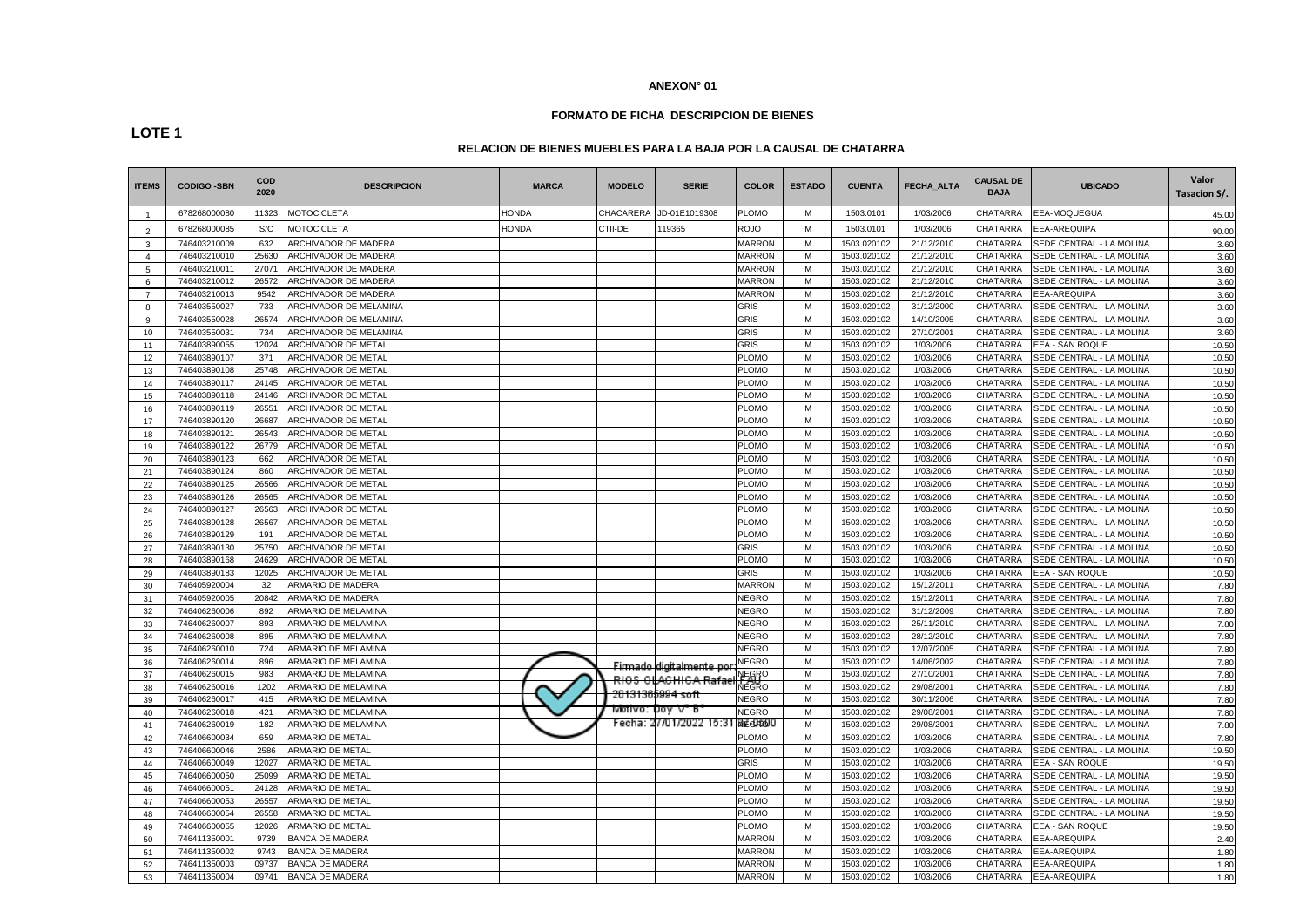# **FORMATO DE FICHA DESCRIPCION DE BIENES**

# **LOTE 1**

## **RELACION DE BIENES MUEBLES PARA LA BAJA POR LA CAUSAL DE CHATARRA**

| <b>ITEMS</b>   | <b>CODIGO -SBN</b> | <b>COD</b><br>2020 | <b>DESCRIPCION</b>          | <b>MARCA</b> | <b>MODELO</b> | <b>SERIE</b>                   | <b>COLOR</b>   | <b>ESTADO</b> | <b>CUENTA</b> | <b>FECHA ALTA</b> | <b>CAUSAL DE</b><br><b>BAJA</b> | <b>UBICADO</b>           | Valor<br>Tasacion S/. |
|----------------|--------------------|--------------------|-----------------------------|--------------|---------------|--------------------------------|----------------|---------------|---------------|-------------------|---------------------------------|--------------------------|-----------------------|
| $\overline{1}$ | 678268000080       | 11323              | <b>MOTOCICLETA</b>          | HONDA        | CHACARERA     | JD-01E1019308                  | <b>PLOMO</b>   | м             | 1503.0101     | 1/03/2006         | <b>CHATARRA</b>                 | EEA-MOQUEGUA             | 45.00                 |
| $\overline{2}$ | 678268000085       | S/C                | <b>MOTOCICLETA</b>          | <b>HONDA</b> | CTII-DE       | 119365                         | <b>ROJO</b>    | M             | 1503.0101     | 1/03/2006         | CHATARRA                        | EEA-AREQUIPA             | 90.00                 |
| 3              | 746403210009       | 632                | ARCHIVADOR DE MADERA        |              |               |                                | <b>MARRON</b>  | M             | 1503.020102   | 21/12/2010        | <b>CHATARRA</b>                 | SEDE CENTRAL - LA MOLINA | 3.60                  |
| $\overline{4}$ | 746403210010       | 25630              | ARCHIVADOR DE MADERA        |              |               |                                | <b>MARRON</b>  | м             | 1503.020102   | 21/12/2010        | <b>CHATARRA</b>                 | SEDE CENTRAL - LA MOLINA | 3.60                  |
| 5              | 746403210011       | 27071              | <b>ARCHIVADOR DE MADERA</b> |              |               |                                | <b>MARRON</b>  | M             | 1503.020102   | 21/12/2010        | <b>CHATARRA</b>                 | SEDE CENTRAL - LA MOLINA | 3.60                  |
| 6              | 746403210012       | 26572              | ARCHIVADOR DE MADERA        |              |               |                                | <b>MARRON</b>  | M             | 1503.020102   | 21/12/2010        | CHATARRA                        | SEDE CENTRAL - LA MOLINA | 3.60                  |
|                | 746403210013       | 9542               | ARCHIVADOR DE MADERA        |              |               |                                | <b>MARRON</b>  | M             | 1503.020102   | 21/12/2010        | CHATARRA                        | EEA-AREQUIPA             | 3.60                  |
| 8              | 746403550027       | 733                | ARCHIVADOR DE MELAMINA      |              |               |                                | <b>GRIS</b>    | M             | 1503.020102   | 31/12/2000        | CHATARRA                        | SEDE CENTRAL - LA MOLINA | 3.60                  |
| 9              | 746403550028       | 26574              | ARCHIVADOR DE MELAMINA      |              |               |                                | <b>GRIS</b>    | M             | 1503.020102   | 14/10/2005        | <b>CHATARRA</b>                 | SEDE CENTRAL - LA MOLINA | 3.60                  |
| 10             | 746403550031       | 734                | ARCHIVADOR DE MELAMINA      |              |               |                                | <b>GRIS</b>    | м             | 1503.020102   | 27/10/2001        | <b>CHATARRA</b>                 | SEDE CENTRAL - LA MOLINA | 3.60                  |
| 11             | 746403890055       | 12024              | ARCHIVADOR DE METAL         |              |               |                                | <b>GRIS</b>    | M             | 1503.020102   | 1/03/2006         | CHATARRA                        | EEA - SAN ROQUE          | 10.50                 |
| 12             | 746403890107       | 371                | <b>ARCHIVADOR DE METAL</b>  |              |               |                                | <b>PLOMO</b>   | м             | 1503.020102   | 1/03/2006         | <b>CHATARRA</b>                 | SEDE CENTRAL - LA MOLINA | 10.50                 |
| 13             | 746403890108       | 25748              | ARCHIVADOR DE METAL         |              |               |                                | <b>PLOMO</b>   | M             | 1503.020102   | 1/03/2006         | <b>CHATARRA</b>                 | SEDE CENTRAL - LA MOLINA | 10.50                 |
| 14             | 746403890117       | 24145              | ARCHIVADOR DE METAL         |              |               |                                | <b>PLOMO</b>   | M             | 1503.020102   | 1/03/2006         | <b>CHATARRA</b>                 | SEDE CENTRAL - LA MOLINA | 10.50                 |
| 15             | 746403890118       | 24146              | ARCHIVADOR DE METAL         |              |               |                                | PLOMO          | M             | 1503.020102   | 1/03/2006         | <b>CHATARRA</b>                 | SEDE CENTRAL - LA MOLINA | 10.50                 |
| 16             | 746403890119       | 26551              | ARCHIVADOR DE METAL         |              |               |                                | <b>PLOMO</b>   | M             | 1503.020102   | 1/03/2006         | CHATARRA                        | SEDE CENTRAL - LA MOLINA | 10.50                 |
| 17             | 746403890120       | 26687              | <b>ARCHIVADOR DE METAL</b>  |              |               |                                | <b>PLOMO</b>   | M             | 1503.020102   | 1/03/2006         | <b>CHATARRA</b>                 | SEDE CENTRAL - LA MOLINA | 10.50                 |
| 18             | 746403890121       | 26543              | <b>ARCHIVADOR DE METAL</b>  |              |               |                                | <b>PLOMO</b>   | M             | 1503.020102   | 1/03/2006         | <b>CHATARRA</b>                 | SEDE CENTRAL - LA MOLINA | 10.50                 |
| 19             | 746403890122       | 26779              | <b>ARCHIVADOR DE METAL</b>  |              |               |                                | PLOMO          | м             | 1503.020102   | 1/03/2006         | CHATARRA                        | SEDE CENTRAL - LA MOLINA | 10.50                 |
| 20             | 746403890123       | 662                | <b>ARCHIVADOR DE METAL</b>  |              |               |                                | <b>PLOMO</b>   | M             | 1503.020102   | 1/03/2006         | CHATARRA                        | SEDE CENTRAL - LA MOLINA | 10.50                 |
| 21             | 746403890124       | 860                | ARCHIVADOR DE METAL         |              |               |                                | <b>PLOMO</b>   | M             | 1503.020102   | 1/03/2006         | CHATARRA                        | SEDE CENTRAL - LA MOLINA | 10.50                 |
| 22             | 746403890125       | 26566              | ARCHIVADOR DE METAL         |              |               |                                | <b>PLOMO</b>   | M             | 1503.020102   | 1/03/2006         | <b>CHATARRA</b>                 | SEDE CENTRAL - LA MOLINA | 10.50                 |
| 23             | 746403890126       | 26565              | ARCHIVADOR DE METAL         |              |               |                                | <b>PLOMO</b>   | M             | 1503.020102   | 1/03/2006         | <b>CHATARRA</b>                 | SEDE CENTRAL - LA MOLINA | 10.50                 |
| 24             | 746403890127       | 26563              | ARCHIVADOR DE METAL         |              |               |                                | <b>PLOMO</b>   | M             | 1503.020102   | 1/03/2006         | CHATARRA                        | SEDE CENTRAL - LA MOLINA | 10.50                 |
| 25             | 746403890128       | 26567              | ARCHIVADOR DE METAL         |              |               |                                | <b>PLOMO</b>   | M             | 1503.020102   | 1/03/2006         | <b>CHATARRA</b>                 | SEDE CENTRAL - LA MOLINA | 10.50                 |
| 26             | 746403890129       | 191                | ARCHIVADOR DE METAL         |              |               |                                | <b>PLOMO</b>   | M             | 1503.020102   | 1/03/2006         | <b>CHATARRA</b>                 | SEDE CENTRAL - LA MOLINA | 10.50                 |
| 27             | 746403890130       | 25750              | ARCHIVADOR DE METAL         |              |               |                                | <b>GRIS</b>    | M             | 1503.020102   | 1/03/2006         | <b>CHATARRA</b>                 | SEDE CENTRAL - LA MOLINA | 10.50                 |
| 28             | 746403890168       | 24629              | ARCHIVADOR DE METAL         |              |               |                                | <b>PLOMO</b>   | M             | 1503.020102   | 1/03/2006         | CHATARRA                        | SEDE CENTRAL - LA MOLINA | 10.50                 |
| 29             | 746403890183       | 12025              | ARCHIVADOR DE METAL         |              |               |                                | <b>GRIS</b>    | M             | 1503.020102   | 1/03/2006         | CHATARRA                        | EEA - SAN ROQUE          | 10.50                 |
| 30             | 746405920004       | 32                 | ARMARIO DE MADERA           |              |               |                                | <b>MARRON</b>  | M             | 1503.020102   | 15/12/2011        | <b>CHATARRA</b>                 | SEDE CENTRAL - LA MOLINA | 7.80                  |
| 31             | 746405920005       | 20842              | ARMARIO DE MADERA           |              |               |                                | <b>NEGRO</b>   | M             | 1503.020102   | 15/12/2011        | <b>CHATARRA</b>                 | SEDE CENTRAL - LA MOLINA | 7.80                  |
| 32             | 746406260006       | 892                | ARMARIO DE MELAMINA         |              |               |                                | <b>NEGRO</b>   | м             | 1503.020102   | 31/12/2009        | CHATARRA                        | SEDE CENTRAL - LA MOLINA | 7.80                  |
| 33             | 746406260007       | 893                | ARMARIO DE MELAMINA         |              |               |                                | <b>NEGRO</b>   | м             | 1503.020102   | 25/11/2010        | CHATARRA                        | SEDE CENTRAL - LA MOLINA | 7.80                  |
| 34             | 746406260008       | 895                | ARMARIO DE MELAMINA         |              |               |                                | <b>NEGRO</b>   | M             | 1503.020102   | 28/12/2010        | CHATARRA                        | SEDE CENTRAL - LA MOLINA | 7.80                  |
| 35             | 746406260010       | 724                | ARMARIO DE MELAMINA         |              |               |                                | <b>NEGRO</b>   | M             | 1503.020102   | 12/07/2005        | <b>CHATARRA</b>                 | SEDE CENTRAL - LA MOLINA | 7.80                  |
| 36             | 746406260014       | 896                | ARMARIO DE MELAMINA         |              |               | <u>Firmado digitalmente po</u> | <b>NEGRO</b>   | M             | 1503.020102   | 14/06/2002        | CHATARRA                        | SEDE CENTRAL - LA MOLINA | 7.80                  |
| 37             | 746406260015       | 983                | ARMARIO DE MELAMINA         |              |               | <b>RIOS OLACHICA Rafa</b>      | <b>NEGRO</b>   | M             | 1503.020102   | 27/10/2001        | CHATARRA                        | SEDE CENTRAL - LA MOLINA | 7.80                  |
| 38             | 746406260016       | 1202               | ARMARIO DE MELAMINA         |              |               | 20131365994 soft               | ₩ÉGRO          | M             | 1503.020102   | 29/08/2001        | CHATARRA                        | SEDE CENTRAL - LA MOLINA | 7.80                  |
| 39             | 746406260017       | 415                | ARMARIO DE MELAMINA         |              | ⊤Motivo:      |                                | <b>NEGRO</b>   | M             | 1503.020102   | 30/11/2006        | <b>CHATARRA</b>                 | SEDE CENTRAL - LA MOLINA | 7.80                  |
| 40             | 746406260018       | 421                | ARMARIO DE MELAMINA         |              |               | ho∆ ∧_ p                       | <b>NEGRO</b>   | м             | 1503.020102   | 29/08/2001        | <b>CHATARRA</b>                 | SEDE CENTRAL - LA MOLINA | 7.80                  |
| 41             | 746406260019       | 182                | ARMARIO DE MELAMINA         |              | Fecha:        | 27/01/2022 15:3                | <b>INEGROU</b> | M             | 1503.020102   | 29/08/2001        | CHATARRA                        | SEDE CENTRAL - LA MOLINA | 7.80                  |
| 42             | 746406600034       | 659                | ARMARIO DE METAL            |              |               |                                | <b>PLOMO</b>   | M             | 1503.020102   | 1/03/2006         | CHATARRA                        | SEDE CENTRAL - LA MOLINA | 7.80                  |
| 43             | 746406600046       | 2586               | ARMARIO DE METAL            |              |               |                                | <b>PLOMO</b>   | М             | 1503.020102   | 1/03/2006         | CHATARRA                        | SEDE CENTRAL - LA MOLINA | 19.50                 |
| 44             | 746406600049       | 12027              | ARMARIO DE METAL            |              |               |                                | <b>GRIS</b>    | M             | 1503.020102   | 1/03/2006         | <b>CHATARRA</b>                 | EEA - SAN ROQUE          | 19.50                 |
| 45             | 746406600050       | 25099              | ARMARIO DE METAL            |              |               |                                | <b>PLOMO</b>   | м             | 1503.020102   | 1/03/2006         | <b>CHATARRA</b>                 | SEDE CENTRAL - LA MOLINA | 19.50                 |
| 46             | 746406600051       | 24128              | ARMARIO DE METAL            |              |               |                                | <b>PLOMO</b>   | м             | 1503.020102   | 1/03/2006         | CHATARRA                        | SEDE CENTRAL - LA MOLINA | 19.50                 |
| 47             | 746406600053       | 26557              | ARMARIO DE METAL            |              |               |                                | <b>PLOMO</b>   | M             | 1503.020102   | 1/03/2006         | <b>CHATARRA</b>                 | SEDE CENTRAL - LA MOLINA | 19.50                 |
| 48             | 746406600054       | 26558              | ARMARIO DE METAL            |              |               |                                | <b>PLOMO</b>   | M             | 1503.020102   | 1/03/2006         | <b>CHATARRA</b>                 | SEDE CENTRAL - LA MOLINA | 19.50                 |
| 49             | 746406600055       | 12026              | ARMARIO DE METAL            |              |               |                                | <b>PLOMO</b>   | M             | 1503.020102   | 1/03/2006         | CHATARRA                        | EEA - SAN ROQUE          | 19.50                 |
| 50             | 746411350001       | 9739               | <b>BANCA DE MADERA</b>      |              |               |                                | <b>MARRON</b>  | M             | 1503.020102   | 1/03/2006         | CHATARRA                        | EEA-AREQUIPA             | 2.40                  |
| 51             | 746411350002       | 9743               | BANCA DE MADERA             |              |               |                                | <b>MARRON</b>  | M             | 1503.020102   | 1/03/2006         | <b>CHATARRA</b>                 | EEA-AREQUIPA             | 1.80                  |
| 52             | 746411350003       | 09737              | <b>BANCA DE MADERA</b>      |              |               |                                | <b>MARRON</b>  | M             | 1503.020102   | 1/03/2006         | <b>CHATARRA</b>                 | EEA-AREQUIPA             | 1.80                  |
| 53             | 746411350004       | 09741              | <b>BANCA DE MADERA</b>      |              |               |                                | <b>MARRON</b>  | M             | 1503.020102   | 1/03/2006         | CHATARRA                        | <b>EEA-AREQUIPA</b>      | 1.80                  |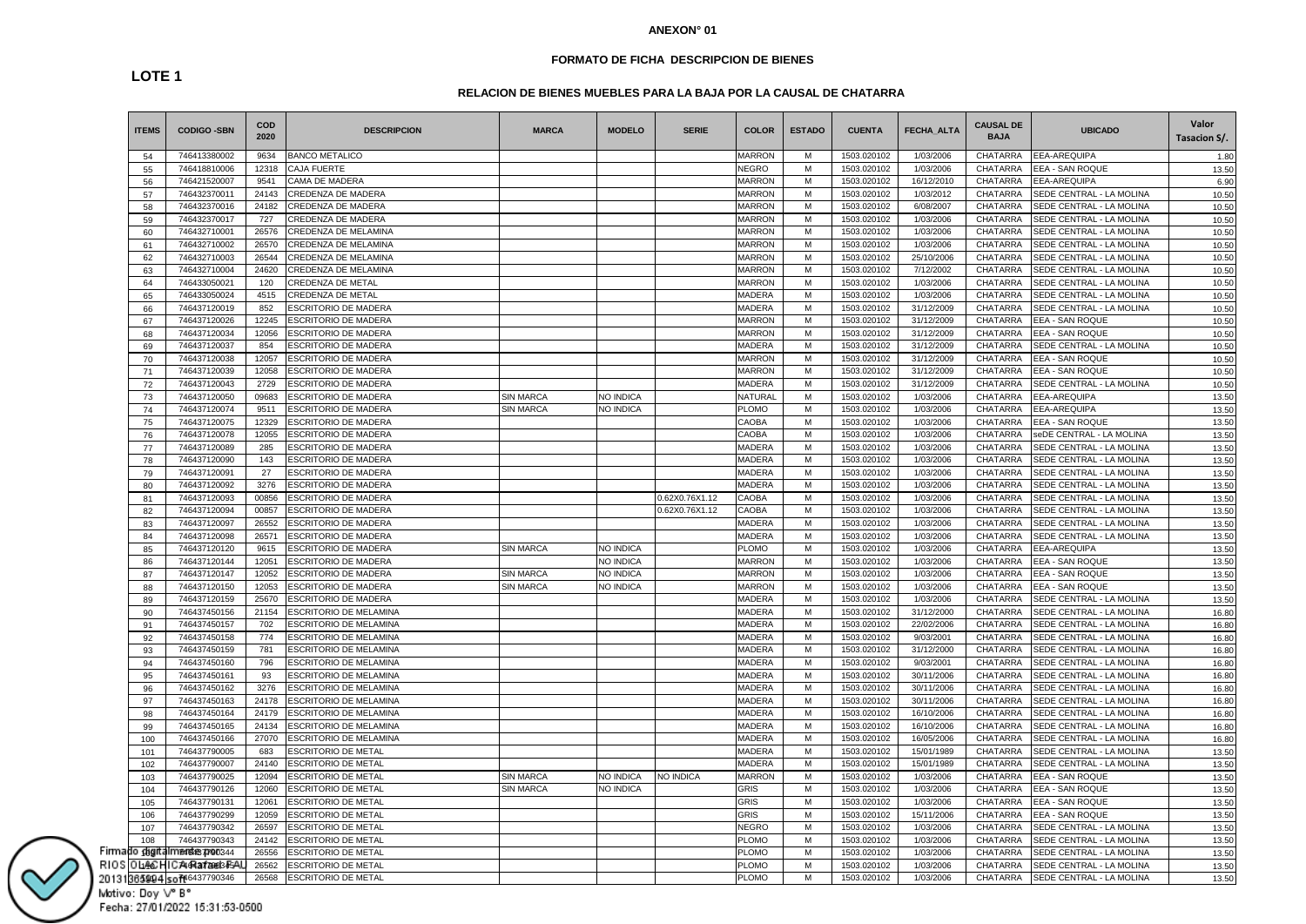### **FORMATO DE FICHA DESCRIPCION DE BIENES**

# **RELACION DE BIENES MUEBLES PARA LA BAJA POR LA CAUSAL DE CHATARRA**

| <b>ITEMS</b>      | <b>CODIGO -SBN</b>                 | COD<br>2020    | <b>DESCRIPCION</b>            | <b>MARCA</b>     | <b>MODELO</b>    | <b>SERIE</b>   | <b>COLOR</b>   | <b>ESTADO</b> | <b>CUENTA</b> | <b>FECHA ALTA</b>       | <b>CAUSAL DE</b><br><b>BAJA</b> | <b>UBICADO</b>                                       | Valor<br>Tasacion S/. |
|-------------------|------------------------------------|----------------|-------------------------------|------------------|------------------|----------------|----------------|---------------|---------------|-------------------------|---------------------------------|------------------------------------------------------|-----------------------|
| 54                | 746413380002                       | 9634           | <b>BANCO METALICO</b>         |                  |                  |                | <b>MARRON</b>  | м             | 1503.020102   | 1/03/2006               | CHATARRA                        | EEA-AREQUIPA                                         | 1.80                  |
| 55                | 746418810006                       | 12318          | <b>CAJA FUERTE</b>            |                  |                  |                | <b>NEGRO</b>   | M             | 1503.020102   | 1/03/2006               | CHATARRA                        | EEA - SAN ROQUE                                      | 13.50                 |
| 56                | 746421520007                       | 9541           | CAMA DE MADERA                |                  |                  |                | <b>MARRON</b>  | M             | 1503.020102   | 16/12/2010              | CHATARRA                        | EEA-AREQUIPA                                         | 6.90                  |
| 57                | 746432370011                       | 24143          | CREDENZA DE MADERA            |                  |                  |                | <b>MARRON</b>  | M             | 1503.020102   | 1/03/2012               | CHATARRA                        | SEDE CENTRAL - LA MOLINA                             | 10.50                 |
| 58                | 746432370016                       | 24182          | CREDENZA DE MADERA            |                  |                  |                | <b>MARRON</b>  | M             | 1503.020102   | 6/08/2007               | CHATARRA                        | SEDE CENTRAL - LA MOLINA                             | 10.50                 |
| 59                | 746432370017                       | 727            | CREDENZA DE MADERA            |                  |                  |                | <b>MARRON</b>  | M             | 1503.020102   | 1/03/2006               | CHATARRA                        | SEDE CENTRAL - LA MOLINA                             | 10.50                 |
| 60                | 746432710001                       | 26576          | CREDENZA DE MELAMINA          |                  |                  |                | <b>MARRON</b>  | M             | 1503.020102   | 1/03/2006               | CHATARRA                        | SEDE CENTRAL - LA MOLINA                             | 10.50                 |
| 61                | 746432710002                       | 26570          | CREDENZA DE MELAMINA          |                  |                  |                | <b>MARRON</b>  | M             | 1503.020102   | 1/03/2006               | CHATARRA                        | SEDE CENTRAL - LA MOLINA                             | 10.50                 |
| 62                | 746432710003                       | 26544          | CREDENZA DE MELAMINA          |                  |                  |                | <b>MARRON</b>  | M             | 1503.020102   | 25/10/2006              | CHATARRA                        | SEDE CENTRAL - LA MOLINA                             | 10.50                 |
| 63                | 746432710004                       | 24620          | CREDENZA DE MELAMINA          |                  |                  |                | <b>MARRON</b>  | M             | 1503.020102   | 7/12/2002               | CHATARRA                        | SEDE CENTRAL - LA MOLINA                             | 10.50                 |
| 64                | 746433050021                       | 120            | CREDENZA DE METAL             |                  |                  |                | <b>MARRON</b>  | M             | 1503.020102   | 1/03/2006               | CHATARRA                        | SEDE CENTRAL - LA MOLINA                             | 10.50                 |
| 65                | 746433050024                       | 4515           | CREDENZA DE METAL             |                  |                  |                | MADERA         | M             | 1503.020102   | 1/03/2006               | CHATARRA                        | SEDE CENTRAL - LA MOLINA                             | 10.50                 |
| 66                | 746437120019                       | 852            | <b>ESCRITORIO DE MADERA</b>   |                  |                  |                | MADERA         | M             | 1503.020102   | 31/12/2009              | CHATARRA                        | SEDE CENTRAL - LA MOLINA                             | 10.50                 |
| 67                | 746437120026                       | 12245          | ESCRITORIO DE MADERA          |                  |                  |                | <b>MARRON</b>  | M             | 1503.020102   | 31/12/2009              | <b>CHATARRA</b>                 | EEA - SAN ROQUE                                      | 10.50                 |
| 68                | 746437120034                       | 12056          | ESCRITORIO DE MADERA          |                  |                  |                | <b>MARRON</b>  | M             | 1503.020102   | 31/12/2009              | CHATARRA                        | EEA - SAN ROQUE                                      | 10.50                 |
| 69                | 746437120037                       | 854            | ESCRITORIO DE MADERA          |                  |                  |                | MADERA         | M             | 1503.020102   | 31/12/2009              | CHATARRA                        | SEDE CENTRAL - LA MOLINA                             | 10.50                 |
| 70                | 746437120038                       | 12057          | ESCRITORIO DE MADERA          |                  |                  |                | <b>MARRON</b>  | M             | 1503.020102   | 31/12/2009              | CHATARRA                        | EEA - SAN ROQUE                                      | 10.50                 |
| 71                | 746437120039                       | 12058          | <b>ESCRITORIO DE MADERA</b>   |                  |                  |                | <b>MARRON</b>  | M             | 1503.020102   | 31/12/2009              | CHATARRA                        | EEA - SAN ROQUE                                      | 10.50                 |
| 72                | 746437120043                       | 2729           | ESCRITORIO DE MADERA          |                  |                  |                | <b>MADERA</b>  | M             | 1503.020102   | 31/12/2009              | CHATARRA                        | SEDE CENTRAL - LA MOLINA                             | 10.50                 |
| 73                | 746437120050                       | 09683          | <b>ESCRITORIO DE MADERA</b>   | SIN MARCA        | <b>NO INDICA</b> |                | <b>NATURAI</b> | M             | 1503.020102   | 1/03/2006               | <b>CHATARRA</b>                 | <b>EEA-AREQUIPA</b>                                  | 13.50                 |
| 74                | 746437120074                       | 9511           | ESCRITORIO DE MADERA          | SIN MARCA        | NO INDICA        |                | <b>PLOMO</b>   | M             | 1503.020102   | 1/03/2006               | CHATARRA                        | EEA-AREQUIPA                                         | 13.50                 |
| 75                | 746437120075                       | 12329          | <b>ESCRITORIO DE MADERA</b>   |                  |                  |                | CAOBA          | M             | 1503.020102   | 1/03/2006               | CHATARRA                        | EEA - SAN ROQUE                                      | 13.50                 |
| 76                | 746437120078                       | 12055          | ESCRITORIO DE MADERA          |                  |                  |                | CAOBA          | M             | 1503.020102   | 1/03/2006               | CHATARRA                        | seDE CENTRAL - LA MOLINA                             | 13.50                 |
| 77                | 746437120089                       | 285            | ESCRITORIO DE MADERA          |                  |                  |                | <b>MADERA</b>  | M             | 1503.020102   | 1/03/2006               | CHATARRA                        | SEDE CENTRAL - LA MOLINA                             | 13.50                 |
| 78                | 746437120090                       | 143            | <b>ESCRITORIO DE MADERA</b>   |                  |                  |                | MADERA         | M             | 1503.020102   | 1/03/2006               | CHATARRA                        | SEDE CENTRAL - LA MOLINA                             | 13.50                 |
| 79                | 746437120091                       | 27             | ESCRITORIO DE MADERA          |                  |                  |                | MADERA         | M             | 1503.020102   | 1/03/2006               | CHATARRA                        | SEDE CENTRAL - LA MOLINA                             | 13.50                 |
| 80                | 746437120092                       | 3276           | <b>ESCRITORIO DE MADERA</b>   |                  |                  |                | <b>MADERA</b>  | M             | 1503.020102   | 1/03/2006               | CHATARRA                        | SEDE CENTRAL - LA MOLINA                             | 13.50                 |
| 81                | 746437120093                       | 00856          | <b>ESCRITORIO DE MADERA</b>   |                  |                  | 0.62X0.76X1.12 | CAOBA          | M             | 1503.020102   | 1/03/2006               | <b>CHATARRA</b>                 | SEDE CENTRAL - LA MOLINA                             | 13.50                 |
| 82                | 746437120094                       | 00857          | ESCRITORIO DE MADERA          |                  |                  | 0.62X0.76X1.12 | CAOBA          | M             | 1503.020102   | 1/03/2006               | CHATARRA                        | SEDE CENTRAL - LA MOLINA                             | 13.50                 |
| 83                | 746437120097                       | 26552          | <b>ESCRITORIO DE MADERA</b>   |                  |                  |                | MADERA         | M             | 1503.020102   | 1/03/2006               | CHATARRA                        | SEDE CENTRAL - LA MOLINA                             | 13.50                 |
| 84                | 746437120098                       | 26571          | ESCRITORIO DE MADERA          |                  |                  |                | MADERA         | M             | 1503.020102   | 1/03/2006               | CHATARRA                        | SEDE CENTRAL - LA MOLINA                             | 13.50                 |
| 85                | 746437120120                       | 9615           | ESCRITORIO DE MADERA          | <b>SIN MARCA</b> | NO INDICA        |                | <b>PLOMO</b>   | M             | 1503.020102   | 1/03/2006               | <b>CHATARRA</b>                 | EEA-AREQUIPA                                         | 13.50                 |
|                   | 746437120144                       | 12051          | ESCRITORIO DE MADERA          |                  | NO INDICA        |                | <b>MARRON</b>  | M             | 1503.020102   | 1/03/2006               | CHATARRA                        | EEA - SAN ROQUE                                      |                       |
| 86                | 746437120147                       | 12052          | ESCRITORIO DE MADERA          | <b>SIN MARCA</b> | NO INDICA        |                | <b>MARRON</b>  | M             | 1503.020102   | 1/03/2006               | CHATARRA                        | EEA - SAN ROQUE                                      | 13.50<br>13.50        |
| 87                | 746437120150                       | 12053          | ESCRITORIO DE MADERA          | <b>SIN MARCA</b> | NO INDICA        |                | <b>MARRON</b>  | M             | 1503.020102   | 1/03/2006               | CHATARRA                        | EEA - SAN ROQUE                                      |                       |
| 88                |                                    |                |                               |                  |                  |                | <b>MADERA</b>  |               |               |                         |                                 |                                                      | 13.50                 |
| 89                | 746437120159<br>746437450156       | 25670<br>21154 | <b>ESCRITORIO DE MADERA</b>   |                  |                  |                | MADERA         | M<br>M        | 1503.020102   | 1/03/2006<br>31/12/2000 | CHATARRA<br>CHATARRA            | SEDE CENTRAL - LA MOLINA<br>SEDE CENTRAL - LA MOLINA | 13.50                 |
| 90                |                                    |                | <b>ESCRITORIO DE MELAMINA</b> |                  |                  |                |                |               | 1503.020102   |                         |                                 |                                                      | 16.80                 |
| 91                | 746437450157                       | 702            | ESCRITORIO DE MELAMINA        |                  |                  |                | MADERA         | M             | 1503.020102   | 22/02/2006              | CHATARRA                        | SEDE CENTRAL - LA MOLINA                             | 16.80                 |
| 92                | 746437450158                       | 774            | ESCRITORIO DE MELAMINA        |                  |                  |                | MADERA         | M             | 1503.020102   | 9/03/2001               | CHATARRA                        | SEDE CENTRAL - LA MOLINA                             | 16.80                 |
| 93                | 746437450159                       | 781            | ESCRITORIO DE MELAMINA        |                  |                  |                | MADERA         | M             | 1503.020102   | 31/12/2000              | CHATARRA                        | SEDE CENTRAL - LA MOLINA                             | 16.80                 |
| 94                | 746437450160                       | 796            | ESCRITORIO DE MELAMINA        |                  |                  |                | <b>MADERA</b>  | M             | 1503.020102   | 9/03/2001               | CHATARRA                        | SEDE CENTRAL - LA MOLINA                             | 16.80                 |
| 95                | 746437450161                       | 93             | ESCRITORIO DE MELAMINA        |                  |                  |                | MADERA         | M             | 1503.020102   | 30/11/2006              | <b>CHATARRA</b>                 | SEDE CENTRAL - LA MOLINA                             | 16.80                 |
| 96                | 746437450162                       | 3276           | ESCRITORIO DE MELAMINA        |                  |                  |                | MADERA         | М             | 1503.020102   | 30/11/2006              | CHATARRA                        | SEDE CENTRAL - LA MOLINA                             | 16.80                 |
| 97                | 746437450163                       | 24178          | ESCRITORIO DE MELAMINA        |                  |                  |                | MADERA         | M             | 1503.020102   | 30/11/2006              | CHATARRA                        | SEDE CENTRAL - LA MOLINA                             | 16.80                 |
| 98                | 746437450164                       | 24179          | <b>ESCRITORIO DE MELAMINA</b> |                  |                  |                | <b>MADERA</b>  | M             | 1503.020102   | 16/10/2006              | CHATARRA                        | SEDE CENTRAL - LA MOLINA                             | 16.80                 |
| 99                | 746437450165                       | 24134          | <b>ESCRITORIO DE MELAMINA</b> |                  |                  |                | MADERA         | M             | 1503.020102   | 16/10/2006              | CHATARRA                        | SEDE CENTRAL - LA MOLINA                             | 16.80                 |
| 100               | 746437450166                       | 27070          | ESCRITORIO DE MELAMINA        |                  |                  |                | MADERA         | M             | 1503.020102   | 16/05/2006              | <b>CHATARRA</b>                 | SEDE CENTRAL - LA MOLINA                             | 16.80                 |
| 101               | 746437790005                       | 683            | <b>ESCRITORIO DE METAL</b>    |                  |                  |                | MADERA         | M             | 1503.020102   | 15/01/1989              | CHATARRA                        | SEDE CENTRAL - LA MOLINA                             | 13.50                 |
| 102               | 746437790007                       | 24140          | <b>ESCRITORIO DE METAL</b>    |                  |                  |                | <b>MADERA</b>  | M             | 1503.020102   | 15/01/1989              | CHATARRA                        | SEDE CENTRAL - LA MOLINA                             | 13.50                 |
| 103               | 746437790025                       | 12094          | ESCRITORIO DE METAL           | <b>SIN MARCA</b> | NO INDICA        | NO INDICA      | <b>MARRON</b>  | M             | 1503.020102   | 1/03/2006               | CHATARRA                        | EEA - SAN ROQUE                                      | 13.50                 |
| 104               | 746437790126                       | 12060          | ESCRITORIO DE METAL           | <b>SIN MARCA</b> | NO INDICA        |                | <b>GRIS</b>    | М             | 1503.020102   | 1/03/2006               | CHATARRA                        | EEA - SAN ROQUE                                      | 13.50                 |
| 105               | 746437790131                       | 12061          | ESCRITORIO DE METAL           |                  |                  |                | GRIS           | M             | 1503.020102   | 1/03/2006               | CHATARRA                        | EEA - SAN ROQUE                                      | 13.50                 |
| 106               | 746437790299                       | 12059          | ESCRITORIO DE METAL           |                  |                  |                | GRIS           | M             | 1503.020102   | 15/11/2006              | CHATARRA                        | EEA - SAN ROQUE                                      | 13.50                 |
| 107               | 746437790342                       | 26597          | <b>ESCRITORIO DE METAL</b>    |                  |                  |                | <b>NEGRO</b>   | M             | 1503.020102   | 1/03/2006               | CHATARRA                        | SEDE CENTRAL - LA MOLINA                             | 13.50                 |
| 108               | 746437790343                       | 24142          | ESCRITORIO DE METAL           |                  |                  |                | <b>PLOMO</b>   | M             | 1503.020102   | 1/03/2006               | CHATARRA                        | SEDE CENTRAL - LA MOLINA                             | 13.50                 |
| Firma<br>do digit | <b>marcias 7790344</b>             | 26556          | ESCRITORIO DE METAL           |                  |                  |                | PLOMO          | M             | 1503.020102   | 1/03/2006               | CHATARRA                        | SEDE CENTRAL - LA MOLINA                             | 13.50                 |
|                   | RIOS O LANCHICA AR an face is FSAI | 26562          | <b>ESCRITORIO DE METAL</b>    |                  |                  |                | <b>PLOMO</b>   | M             | 1503.020102   | 1/03/2006               | CHATARRA                        | SEDE CENTRAL - LA MOLINA                             | 13.50                 |
|                   |                                    | 26568          | <b>ESCRITORIO DE METAL</b>    |                  |                  |                | PLOMO          | M             | 1503.020102   | 1/03/2006               | CHATARRA                        | SEDE CENTRAL - LA MOLINA                             | 13.50                 |

**LOTE 1**

Motivo: Doy V° B° Fecha: 27/01/2022 15:31:53-0500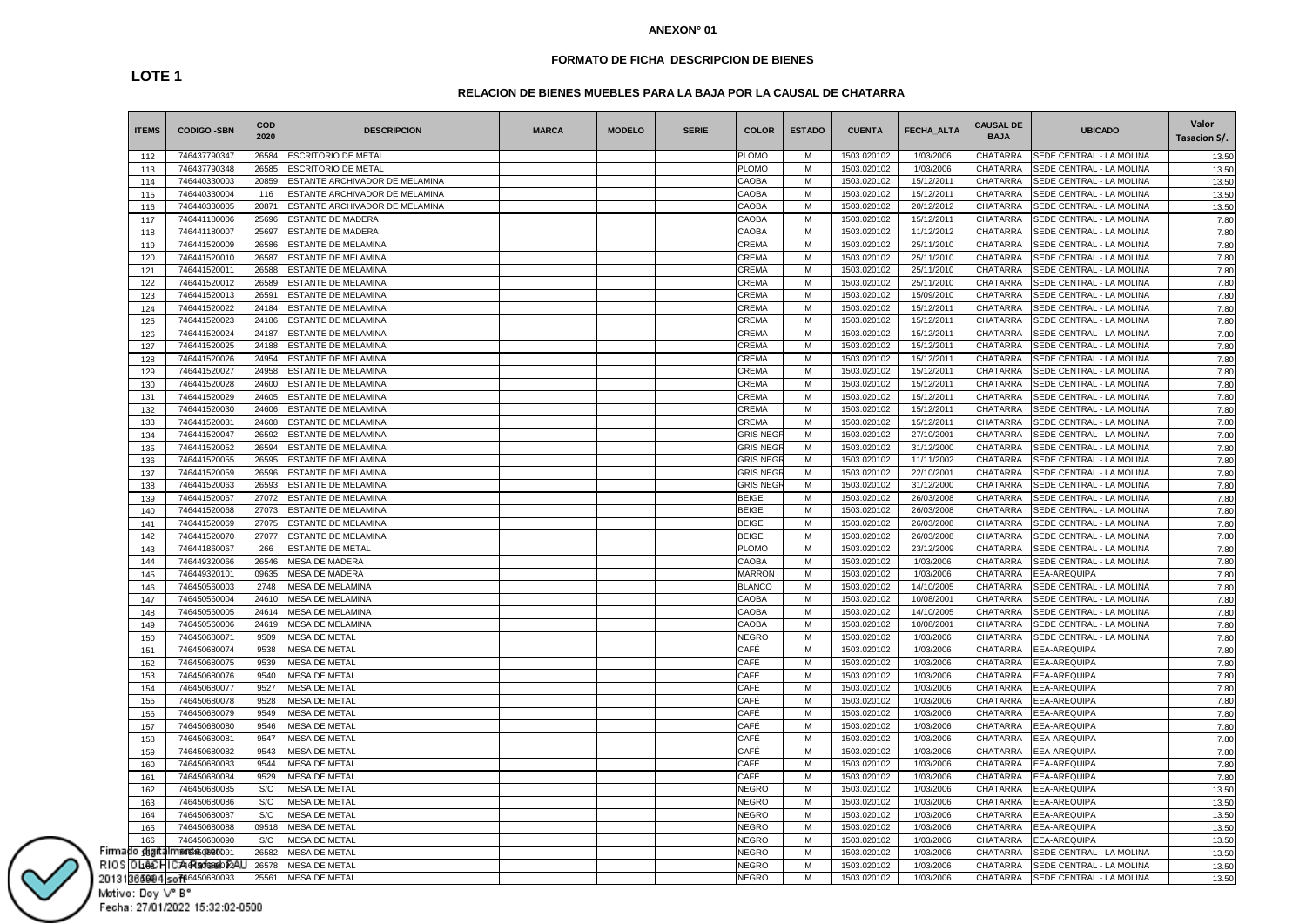### **FORMATO DE FICHA DESCRIPCION DE BIENES**

# **LOTE 1**

# **RELACION DE BIENES MUEBLES PARA LA BAJA POR LA CAUSAL DE CHATARRA**

| <b>ITEMS</b>  | <b>CODIGO -SBN</b>          | <b>COD</b><br>2020 | <b>DESCRIPCION</b>             | <b>MARCA</b> | <b>MODELO</b> | <b>SERIE</b> | <b>COLOR</b>    | <b>ESTADO</b> | <b>CUENTA</b> | <b>FECHA ALTA</b> | <b>CAUSAL DE</b><br><b>BAJA</b> | <b>UBICADO</b>           | Valor<br>Tasacion S/. |
|---------------|-----------------------------|--------------------|--------------------------------|--------------|---------------|--------------|-----------------|---------------|---------------|-------------------|---------------------------------|--------------------------|-----------------------|
| 112           | 746437790347                | 26584              | ESCRITORIO DE METAL            |              |               |              | PLOMO           | M             | 1503.020102   | 1/03/2006         | CHATARRA                        | SEDE CENTRAL - LA MOLINA | 13.50                 |
| 113           | 746437790348                | 26585              | ESCRITORIO DE METAL            |              |               |              | PLOMO           | M             | 1503.020102   | 1/03/2006         | CHATARRA                        | SEDE CENTRAL - LA MOLINA | 13.50                 |
| 114           | 746440330003                | 20859              | ESTANTE ARCHIVADOR DE MELAMINA |              |               |              | CAOBA           | M             | 1503.020102   | 15/12/2011        | CHATARRA                        | SEDE CENTRAL - LA MOLINA | 13.50                 |
| 115           | 746440330004                | 116                | ESTANTE ARCHIVADOR DE MELAMINA |              |               |              | CAOBA           | M             | 1503.020102   | 15/12/2011        | CHATARRA                        | SEDE CENTRAL - LA MOLINA | 13.50                 |
| 116           | 746440330005                | 20871              | ESTANTE ARCHIVADOR DE MELAMINA |              |               |              | CAOBA           | M             | 1503.020102   | 20/12/2012        | CHATARRA                        | SEDE CENTRAL - LA MOLINA | 13.50                 |
| 117           | 746441180006                | 25696              | ESTANTE DE MADERA              |              |               |              | CAOBA           | M             | 1503.020102   | 15/12/2011        | CHATARRA                        | SEDE CENTRAL - LA MOLINA | 7.80                  |
| 118           | 746441180007                | 25697              | ESTANTE DE MADERA              |              |               |              | CAOBA           | M             | 1503.020102   | 11/12/2012        | CHATARRA                        | SEDE CENTRAL - LA MOLINA | 7.80                  |
| 119           | 746441520009                | 26586              | ESTANTE DE MELAMINA            |              |               |              | CREMA           | M             | 1503.020102   | 25/11/2010        | CHATARRA                        | SEDE CENTRAL - LA MOLINA | 7.80                  |
| 120           | 746441520010                | 26587              | ESTANTE DE MELAMINA            |              |               |              | CREMA           | M             | 1503.020102   | 25/11/2010        | CHATARRA                        | SEDE CENTRAL - LA MOLINA | 7.80                  |
| 121           | 746441520011                | 26588              | ESTANTE DE MELAMINA            |              |               |              | CREMA           | M             | 1503.020102   | 25/11/2010        | CHATARRA                        | SEDE CENTRAL - LA MOLINA | 7.80                  |
| 122           | 746441520012                | 26589              | <b>ESTANTE DE MELAMINA</b>     |              |               |              | CREMA           | M             | 1503.020102   | 25/11/2010        | CHATARRA                        | SEDE CENTRAL - LA MOLINA | 7.80                  |
| 123           | 746441520013                | 26591              | ESTANTE DE MELAMINA            |              |               |              | CREMA           | M             | 1503.020102   | 15/09/2010        | CHATARRA                        | SEDE CENTRAL - LA MOLINA | 7.80                  |
| 124           | 746441520022                | 24184              | ESTANTE DE MELAMINA            |              |               |              | CREMA           | M             | 1503.020102   | 15/12/2011        | CHATARRA                        | SEDE CENTRAL - LA MOLINA | 7.80                  |
| 125           | 746441520023                | 24186              | ESTANTE DE MELAMINA            |              |               |              | CREMA           | M             | 1503.020102   | 15/12/2011        | CHATARRA                        | SEDE CENTRAL - LA MOLINA | 7.80                  |
| 126           | 746441520024                | 24187              | ESTANTE DE MELAMINA            |              |               |              | CREMA           | M             | 1503.020102   | 15/12/2011        | CHATARRA                        | SEDE CENTRAL - LA MOLINA | 7.80                  |
| 127           | 746441520025                | 24188              | ESTANTE DE MELAMINA            |              |               |              | CREMA           | M             | 1503.020102   | 15/12/2011        | CHATARRA                        | SEDE CENTRAL - LA MOLINA | 7.80                  |
| 128           | 746441520026                | 24954              | ESTANTE DE MELAMINA            |              |               |              | CREMA           | M             | 1503.020102   | 15/12/2011        | CHATARRA                        | SEDE CENTRAL - LA MOLINA | 7.80                  |
| 129           | 746441520027                | 24958              | ESTANTE DE MELAMINA            |              |               |              | CREMA           | M             | 1503.020102   | 15/12/2011        | CHATARRA                        | SEDE CENTRAL - LA MOLINA | 7.80                  |
| 130           | 746441520028                | 24600              | <b>ESTANTE DE MELAMINA</b>     |              |               |              | CREMA           | M             | 1503.020102   | 15/12/2011        | CHATARRA                        | SEDE CENTRAL - LA MOLINA | 7.80                  |
| 131           | 746441520029                | 24605              | ESTANTE DE MELAMINA            |              |               |              | CREMA           | M             | 1503.020102   | 15/12/2011        | CHATARRA                        | SEDE CENTRAL - LA MOLINA | 7.80                  |
| 132           | 746441520030                | 24606              | ESTANTE DE MELAMINA            |              |               |              | CREMA           | M             | 1503.020102   | 15/12/2011        | CHATARRA                        | SEDE CENTRAL - LA MOLINA | 7.80                  |
| 133           | 746441520031                | 24608              | ESTANTE DE MELAMINA            |              |               |              | CREMA           | M             | 1503.020102   | 15/12/2011        | CHATARRA                        | SEDE CENTRAL - LA MOLINA | 7.80                  |
| 134           | 746441520047                | 26592              | ESTANTE DE MELAMINA            |              |               |              | <b>GRIS NEG</b> | M             | 1503.020102   | 27/10/2001        | CHATARRA                        | SEDE CENTRAL - LA MOLINA | 7.80                  |
|               | 746441520052                | 26594              | ESTANTE DE MELAMINA            |              |               |              | <b>GRIS NEG</b> | M             | 1503.020102   | 31/12/2000        | <b>CHATARRA</b>                 | SEDE CENTRAL - LA MOLINA |                       |
| 135           |                             |                    |                                |              |               |              | <b>GRIS NEG</b> | M             | 1503.020102   | 11/11/2002        | CHATARRA                        |                          | 7.80                  |
| 136           | 746441520055                | 26595              | ESTANTE DE MELAMINA            |              |               |              |                 |               |               |                   |                                 | SEDE CENTRAL - LA MOLINA | 7.80                  |
| 137           | 746441520059                | 26596              | ESTANTE DE MELAMINA            |              |               |              | <b>GRIS NEG</b> | M             | 1503.020102   | 22/10/2001        | CHATARRA                        | SEDE CENTRAL - LA MOLINA | 7.80                  |
| 138           | 746441520063                | 26593              | ESTANTE DE MELAMINA            |              |               |              | <b>GRIS NEG</b> | M             | 1503.020102   | 31/12/2000        | CHATARRA                        | SEDE CENTRAL - LA MOLINA | 7.80                  |
| 139           | 746441520067                | 27072              | <b>ESTANTE DE MELAMINA</b>     |              |               |              | <b>BEIGE</b>    | M             | 1503.020102   | 26/03/2008        | CHATARRA                        | SEDE CENTRAL - LA MOLINA | 7.80                  |
| 140           | 746441520068                | 27073              | ESTANTE DE MELAMINA            |              |               |              | <b>BEIGE</b>    | M             | 1503.020102   | 26/03/2008        | CHATARRA                        | SEDE CENTRAL - LA MOLINA | 7.80                  |
| 141           | 746441520069                | 27075              | ESTANTE DE MELAMINA            |              |               |              | <b>BEIGE</b>    | M             | 1503.020102   | 26/03/2008        | CHATARRA                        | SEDE CENTRAL - LA MOLINA | 7.80                  |
| 142           | 746441520070                | 27077              | ESTANTE DE MELAMINA            |              |               |              | <b>BEIGE</b>    | M             | 1503.020102   | 26/03/2008        | CHATARRA                        | SEDE CENTRAL - LA MOLINA | 7.80                  |
| 143           | 746441860067                | 266                | ESTANTE DE METAL               |              |               |              | PLOMO           | M             | 1503.020102   | 23/12/2009        | CHATARRA                        | SEDE CENTRAL - LA MOLINA | 7.80                  |
| 144           | 746449320066                | 26546              | <b>MESA DE MADERA</b>          |              |               |              | CAOBA           | M             | 1503.020102   | 1/03/2006         | CHATARRA                        | SEDE CENTRAL - LA MOLINA | 7.80                  |
| 145           | 746449320101                | 09635              | <b>MESA DE MADERA</b>          |              |               |              | <b>MARRON</b>   | М             | 1503.020102   | 1/03/2006         | CHATARRA                        | EEA-AREQUIPA             | 7.80                  |
| 146           | 746450560003                | 2748               | <b>MESA DE MELAMINA</b>        |              |               |              | <b>BLANCO</b>   | M             | 1503.020102   | 14/10/2005        | CHATARRA                        | SEDE CENTRAL - LA MOLINA | 7.80                  |
| 147           | 746450560004                | 24610              | <b>MESA DE MELAMINA</b>        |              |               |              | CAOBA           | M             | 1503.020102   | 10/08/2001        | CHATARRA                        | SEDE CENTRAL - LA MOLINA | 7.80                  |
| 148           | 746450560005                | 24614              | MESA DE MELAMINA               |              |               |              | CAOBA           | M             | 1503.020102   | 14/10/2005        | CHATARRA                        | SEDE CENTRAL - LA MOLINA | 7.80                  |
| 149           | 746450560006                | 24619              | MESA DE MELAMINA               |              |               |              | CAOBA           | M             | 1503.020102   | 10/08/2001        | CHATARRA                        | SEDE CENTRAL - LA MOLINA | 7.80                  |
| 150           | 746450680071                | 9509               | <b>MESA DE METAL</b>           |              |               |              | <b>NEGRO</b>    | M             | 1503.020102   | 1/03/2006         | CHATARRA                        | SEDE CENTRAL - LA MOLINA | 7.80                  |
| 151           | 746450680074                | 9538               | <b>MESA DE METAL</b>           |              |               |              | CAFÉ            | M             | 1503.020102   | 1/03/2006         | CHATARRA                        | EEA-AREQUIPA             | 7.80                  |
| 152           | 746450680075                | 9539               | <b>MESA DE METAL</b>           |              |               |              | CAFÉ            | M             | 1503.020102   | 1/03/2006         | CHATARRA                        | EEA-AREQUIPA             | 7.80                  |
| 153           | 746450680076                | 9540               | <b>MESA DE METAL</b>           |              |               |              | CAFÉ            | M             | 1503.020102   | 1/03/2006         | CHATARRA                        | EEA-AREQUIPA             | 7.80                  |
| 154           | 746450680077                | 9527               | MESA DE METAL                  |              |               |              | CAFÉ            | M             | 1503.020102   | 1/03/2006         | CHATARRA                        | EEA-AREQUIPA             | 7.80                  |
| 155           | 746450680078                | 9528               | MESA DE METAL                  |              |               |              | CAFÉ            | M             | 1503.020102   | 1/03/2006         | CHATARRA                        | EEA-AREQUIPA             | 7.80                  |
| 156           | 746450680079                | 9549               | <b>MESA DE METAL</b>           |              |               |              | CAFÉ            | M             | 1503.020102   | 1/03/2006         | CHATARRA                        | EEA-AREQUIPA             | 7.80                  |
| 157           | 746450680080                | 9546               | <b>MESA DE METAL</b>           |              |               |              | CAFÉ            | M             | 1503.020102   | 1/03/2006         | CHATARRA                        | EEA-AREQUIPA             | 7.80                  |
| 158           | 746450680081                | 9547               | <b>MESA DE METAL</b>           |              |               |              | CAFÉ            | M             | 1503.020102   | 1/03/2006         | <b>CHATARRA</b>                 | EEA-AREQUIPA             | 7.80                  |
| 159           | 746450680082                | 9543               | <b>MESA DE METAL</b>           |              |               |              | CAFÉ            | M             | 1503.020102   | 1/03/2006         | CHATARRA                        | EEA-AREQUIPA             | 7.80                  |
| 160           | 746450680083                | 9544               | <b>MESA DE METAL</b>           |              |               |              | CAFÉ            | M             | 1503.020102   | 1/03/2006         | CHATARRA                        | EEA-AREQUIPA             | 7.80                  |
| 161           | 746450680084                | 9529               | <b>MESA DE METAL</b>           |              |               |              | CAFÉ            | M             | 1503.020102   | 1/03/2006         | CHATARRA                        | EEA-AREQUIPA             | 7.80                  |
| 162           | 746450680085                | S/C                | MESA DE METAL                  |              |               |              | <b>NEGRO</b>    | M             | 1503.020102   | 1/03/2006         | CHATARRA                        | EEA-AREQUIPA             | 13.50                 |
| 163           | 746450680086                | S/C                | MESA DE METAL                  |              |               |              | <b>NEGRO</b>    | M             | 1503.020102   | 1/03/2006         | CHATARRA                        | EEA-AREQUIPA             | 13.50                 |
| 164           | 746450680087                | S/C                | MESA DE METAL                  |              |               |              | <b>NEGRO</b>    | M             | 1503.020102   | 1/03/2006         | CHATARRA                        | EEA-AREQUIPA             | 13.50                 |
| 165           | 746450680088                | 09518              | <b>MESA DE METAL</b>           |              |               |              | <b>NEGRO</b>    | M             | 1503.020102   | 1/03/2006         | CHATARRA                        | EEA-AREQUIPA             | 13.50                 |
| 166           | 746450680090                | S/C                | MESA DE METAL                  |              |               |              | <b>NEGRO</b>    | M             | 1503.020102   | 1/03/2006         | CHATARRA                        | EEA-AREQUIPA             |                       |
| Firmado digit | <b>mendasge80091</b>        | 26582              | <b>MESA DE METAL</b>           |              |               |              | <b>NEGRO</b>    | M             | 1503.020102   | 1/03/2006         | CHATARRA                        | SEDE CENTRAL - LA MOLINA | 13.50                 |
|               |                             |                    |                                |              |               |              |                 |               |               |                   |                                 |                          | 13.50                 |
| RIOS          | OLIGE HIC A4 FA 50 6890 92A | 26578              | <b>MESA DE METAL</b>           |              |               |              | <b>NEGRO</b>    | M             | 1503.020102   | 1/03/2006         | CHATARRA                        | SEDE CENTRAL - LA MOLINA | 13.50                 |
|               | 20131365094 soft6450680093  | 25561              | <b>MESA DE METAL</b>           |              |               |              | <b>NEGRO</b>    | M             | 1503.020102   | 1/03/2006         | CHATARRA                        | SEDE CENTRAL - LA MOLINA | 13.50                 |

Motivo: Doy V° B° Fecha: 27/01/2022 15:32:02-0500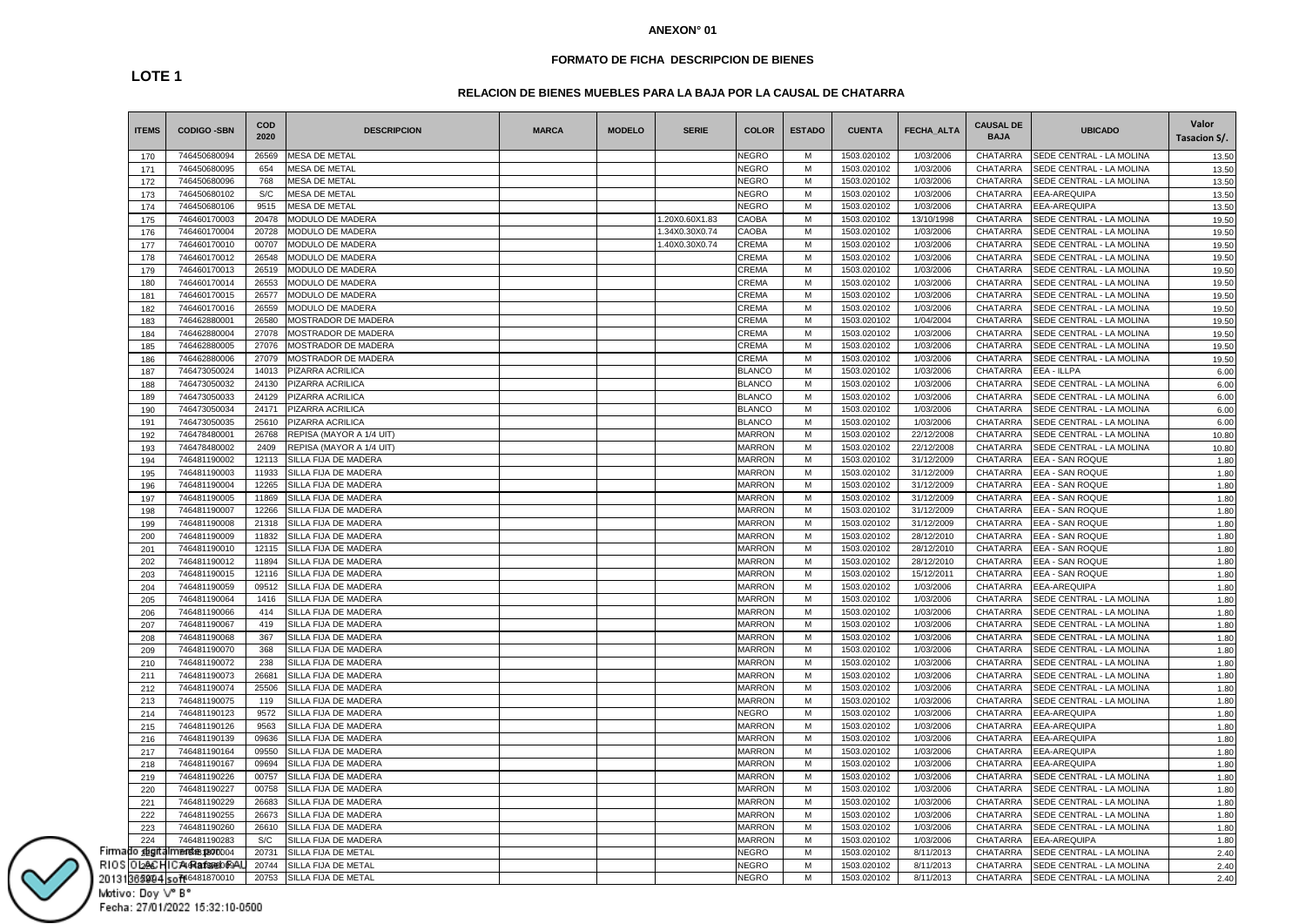### **FORMATO DE FICHA DESCRIPCION DE BIENES**

# **RELACION DE BIENES MUEBLES PARA LA BAJA POR LA CAUSAL DE CHATARRA**

| <b>ITEMS</b>    | <b>CODIGO -SBN</b>                    | COD<br>2020    | <b>DESCRIPCION</b>         | <b>MARCA</b> | <b>MODELO</b> | <b>SERIE</b>   | <b>COLOR</b>  | <b>ESTADO</b> | <b>CUENTA</b>              | FECHA_ALTA             | <b>CAUSAL DE</b><br><b>BAJA</b> | <b>UBICADO</b>           | Valor<br>Tasacion S/. |
|-----------------|---------------------------------------|----------------|----------------------------|--------------|---------------|----------------|---------------|---------------|----------------------------|------------------------|---------------------------------|--------------------------|-----------------------|
| 170             | 746450680094                          | 26569          | <b>MESA DE METAL</b>       |              |               |                | <b>NEGRO</b>  | м             | 1503.020102                | 1/03/2006              | <b>CHATARRA</b>                 | SEDE CENTRAL - LA MOLINA | 13.50                 |
| 171             | 746450680095                          | 654            | <b>MESA DE METAL</b>       |              |               |                | <b>NEGRO</b>  | М             | 1503.020102                | 1/03/2006              | CHATARRA                        | SEDE CENTRAL - LA MOLINA | 13.50                 |
| 172             | 746450680096                          | 768            | MESA DE METAL              |              |               |                | <b>NEGRO</b>  | М             | 1503.020102                | 1/03/2006              | CHATARRA                        | SEDE CENTRAL - LA MOLINA | 13.50                 |
| 173             | 746450680102                          | S/C            | MESA DE METAL              |              |               |                | <b>NEGRO</b>  | M             | 1503.020102                | 1/03/2006              | CHATARRA                        | EEA-AREQUIPA             | 13.50                 |
| 174             | 746450680106                          | 9515           | MESA DE METAL              |              |               |                | <b>NEGRO</b>  | М             | 1503.020102                | 1/03/2006              | CHATARRA                        | EEA-AREQUIPA             | 13.50                 |
| 175             | 746460170003                          | 20478          | MODULO DE MADERA           |              |               | 1.20X0.60X1.83 | CAOBA         | М             | 1503.020102                | 13/10/1998             | CHATARRA                        | SEDE CENTRAL - LA MOLINA | 19.50                 |
| 176             | 746460170004                          | 20728          | MODULO DE MADERA           |              |               | 1.34X0.30X0.74 | CAOBA         | M             | 1503.020102                | 1/03/2006              | <b>CHATARRA</b>                 | SEDE CENTRAL - LA MOLINA | 19.50                 |
| 177             | 746460170010                          | 00707          | MODULO DE MADERA           |              |               | 1.40X0.30X0.74 | CREMA         | М             | 1503.020102                | 1/03/2006              | CHATARRA                        | SEDE CENTRAL - LA MOLINA | 19.50                 |
| 178             | 746460170012                          | 26548          | MODULO DE MADERA           |              |               |                | <b>CREMA</b>  | М             | 1503.020102                | 1/03/2006              | CHATARRA                        | SEDE CENTRAL - LA MOLINA | 19.50                 |
| 179             | 746460170013                          | 26519          | MODULO DE MADERA           |              |               |                | <b>CREMA</b>  | M             | 1503.020102                | 1/03/2006              | <b>CHATARRA</b>                 | SEDE CENTRAL - LA MOLINA | 19.50                 |
| 180             | 746460170014                          | 26553          | MODULO DE MADERA           |              |               |                | <b>CREMA</b>  | М             | 1503.020102                | 1/03/2006              | CHATARRA                        | SEDE CENTRAL - LA MOLINA | 19.50                 |
| 181             | 746460170015                          | 26577          | MODULO DE MADERA           |              |               |                | <b>CREMA</b>  | М             | 1503.020102                | 1/03/2006              | CHATARRA                        | SEDE CENTRAL - LA MOLINA | 19.50                 |
| 182             | 746460170016                          | 26559          | MODULO DE MADERA           |              |               |                | <b>CREMA</b>  | М             | 1503.020102                | 1/03/2006              | CHATARRA                        | SEDE CENTRAL - LA MOLINA | 19.50                 |
| 183             | 746462880001                          | 26580          | <b>MOSTRADOR DE MADERA</b> |              |               |                | CREMA         | М             | 1503.020102                | 1/04/2004              | CHATARRA                        | SEDE CENTRAL - LA MOLINA | 19.50                 |
| 184             | 746462880004                          | 27078          | MOSTRADOR DE MADERA        |              |               |                | CREMA         | М             | 1503.020102                | 1/03/2006              | CHATARRA                        | SEDE CENTRAL - LA MOLINA | 19.50                 |
| 185             | 746462880005                          | 27076          | MOSTRADOR DE MADERA        |              |               |                | CREMA         | M             | 1503.020102                | 1/03/2006              | <b>CHATARRA</b>                 | SEDE CENTRAL - LA MOLINA | 19.50                 |
| 186             | 746462880006                          | 27079          | MOSTRADOR DE MADERA        |              |               |                | CREMA         | М             | 1503.020102                | 1/03/2006              | CHATARRA                        | SEDE CENTRAL - LA MOLINA | 19.50                 |
| 187             | 746473050024                          | 14013          | PIZARRA ACRILICA           |              |               |                | <b>BLANCO</b> | М             | 1503.020102                | 1/03/2006              | CHATARRA                        | <b>EEA - ILLPA</b>       | 6.00                  |
| 188             | 746473050032                          | 24130          | PIZARRA ACRILICA           |              |               |                | <b>BLANCO</b> | М             | 1503.020102                | 1/03/2006              | CHATARRA                        | SEDE CENTRAL - LA MOLINA | 6.00                  |
| 189             | 746473050033                          | 24129          | PIZARRA ACRILICA           |              |               |                | <b>BLANCO</b> | М             | 1503.020102                | 1/03/2006              | CHATARRA                        | SEDE CENTRAL - LA MOLINA | 6.00                  |
| 190             | 746473050034                          | 24171          | PIZARRA ACRILICA           |              |               |                | <b>BLANCO</b> | М             | 1503.020102                | 1/03/2006              | CHATARRA                        | SEDE CENTRAL - LA MOLINA | 6.00                  |
| 191             | 746473050035                          | 25610          | PIZARRA ACRILICA           |              |               |                | <b>BLANCO</b> | М             | 1503.020102                | 1/03/2006              | CHATARRA                        | SEDE CENTRAL - LA MOLINA | 6.00                  |
| 192             | 746478480001                          | 26768          | REPISA (MAYOR A 1/4 UIT)   |              |               |                | <b>MARRON</b> | M             | 1503.020102                | 22/12/2008             | CHATARRA                        | SEDE CENTRAL - LA MOLINA | 10.80                 |
| 193             | 746478480002                          | 2409           | REPISA (MAYOR A 1/4 UIT)   |              |               |                | <b>MARRON</b> | М             | 1503.020102                | 22/12/2008             | CHATARRA                        | SEDE CENTRAL - LA MOLINA | 10.80                 |
| 194             | 746481190002                          | 12113          | SILLA FIJA DE MADERA       |              |               |                | <b>MARRON</b> | М             | 1503.020102                | 31/12/2009             | CHATARRA                        | EEA - SAN ROQUE          | 1.80                  |
| 195             | 746481190003                          | 11933          | SILLA FIJA DE MADERA       |              |               |                | <b>MARRON</b> | М             | 1503.020102                | 31/12/2009             | CHATARRA                        | EEA - SAN ROQUE          | 1.80                  |
| 196             | 746481190004                          | 12265          | SILLA FIJA DE MADERA       |              |               |                | <b>MARRON</b> | М             | 1503.020102                | 31/12/2009             | CHATARRA                        | EEA - SAN ROQUE          | 1.80                  |
| 197             | 746481190005                          | 11869          | SILLA FIJA DE MADERA       |              |               |                | <b>MARRON</b> | М             | 1503.020102                | 31/12/2009             | CHATARRA                        | EEA - SAN ROQUE          | 1.80                  |
| 198             | 746481190007                          | 12266          | SILLA FIJA DE MADERA       |              |               |                | <b>MARRON</b> | М             | 1503.020102                | 31/12/2009             | CHATARRA                        | EEA - SAN ROQUE          | 1.80                  |
| 199             | 746481190008                          | 21318          | SILLA FIJA DE MADERA       |              |               |                | <b>MARRON</b> | М             | 1503.020102                | 31/12/2009             | CHATARRA                        | EEA - SAN ROQUE          | 1.80                  |
| 200             | 746481190009                          | 11832          | SILLA FIJA DE MADERA       |              |               |                | <b>MARRON</b> | М             | 1503.020102                | 28/12/2010             | CHATARRA                        | EEA - SAN ROQUE          | 1.80                  |
| 201             | 746481190010                          | 12115          | SILLA FIJA DE MADERA       |              |               |                | <b>MARRON</b> | M             | 1503.020102                | 28/12/2010             | CHATARRA                        | EEA - SAN ROQUE          | 1.80                  |
| 202             | 746481190012                          | 11894          | SILLA FIJA DE MADERA       |              |               |                | <b>MARRON</b> | М             | 1503.020102                | 28/12/2010             | CHATARRA                        | EEA - SAN ROQUE          | 1.80                  |
| 203             | 746481190015                          | 12116          | SILLA FIJA DE MADERA       |              |               |                | <b>MARRON</b> | М             | 1503.020102                | 15/12/2011             | CHATARRA                        | EEA - SAN ROQUE          | 1.80                  |
| 204             | 746481190059                          | 09512          | SILLA FIJA DE MADERA       |              |               |                | <b>MARRON</b> | M             | 1503.020102                | 1/03/2006              | CHATARRA                        | EEA-AREQUIPA             | 1.80                  |
| 205             | 746481190064                          | 1416           | SILLA FIJA DE MADERA       |              |               |                | <b>MARRON</b> | М             | 1503.020102                | 1/03/2006              | CHATARRA                        | SEDE CENTRAL - LA MOLINA | 1.80                  |
| 206             | 746481190066                          | 414            | SILLA FIJA DE MADERA       |              |               |                | <b>MARRON</b> | М             | 1503.020102                | 1/03/2006              | CHATARRA                        | SEDE CENTRAL - LA MOLINA | 1.80                  |
| 207             | 746481190067                          | 419            | SILLA FIJA DE MADERA       |              |               |                | <b>MARRON</b> | М             | 1503.020102                | 1/03/2006              | CHATARRA                        | SEDE CENTRAL - LA MOLINA | 1.80                  |
| 208             | 746481190068                          | 367            | SILLA FIJA DE MADERA       |              |               |                | <b>MARRON</b> | М             | 1503.020102                | 1/03/2006              | CHATARRA                        | SEDE CENTRAL - LA MOLINA | 1.80                  |
| 209             | 746481190070                          | 368            | SILLA FIJA DE MADERA       |              |               |                | <b>MARRON</b> | М             | 1503.020102                | 1/03/2006              | CHATARRA                        | SEDE CENTRAL - LA MOLINA | 1.80                  |
| 210             | 746481190072                          | 238            | SILLA FIJA DE MADERA       |              |               |                | <b>MARRON</b> | M             | 1503.020102                | 1/03/2006              | CHATARRA                        | SEDE CENTRAL - LA MOLINA | 1.80                  |
| 211             | 746481190073                          | 26681          | SILLA FIJA DE MADERA       |              |               |                | <b>MARRON</b> | М             | 1503.020102                | 1/03/2006              | CHATARRA                        | SEDE CENTRAL - LA MOLINA | 1.80                  |
| 212             | 746481190074                          | 25506          | SILLA FIJA DE MADERA       |              |               |                | <b>MARRON</b> | М             | 1503.020102                | 1/03/2006              | CHATARRA                        | SEDE CENTRAL - LA MOLINA | 1.80                  |
| 213             | 746481190075                          | 119            | SILLA FIJA DE MADERA       |              |               |                | <b>MARRON</b> | M             | 1503.020102                | 1/03/2006              | <b>CHATARRA</b>                 | SEDE CENTRAL - LA MOLINA | 1.80                  |
| 214             | 746481190123                          | 9572           | SILLA FIJA DE MADERA       |              |               |                | <b>NEGRO</b>  | М             | 1503.020102                | 1/03/2006              | CHATARRA                        | EEA-AREQUIPA             | 1.80                  |
| 215             | 746481190126                          | 9563           | SILLA FIJA DE MADERA       |              |               |                | <b>MARRON</b> | М             | 1503.020102                | 1/03/2006              | CHATARRA                        | EEA-AREQUIPA             | 1.80                  |
| 216             | 746481190139                          | 09636          | SILLA FIJA DE MADERA       |              |               |                | <b>MARRON</b> | М             | 1503.020102                | 1/03/2006              | CHATARRA                        | EEA-AREQUIPA             | 1.80                  |
| 217             | 746481190164                          | 09550          | SILLA FIJA DE MADERA       |              |               |                | <b>MARRON</b> | М             | 1503.020102                | 1/03/2006              | CHATARRA                        | EEA-AREQUIPA             | 1.80                  |
|                 |                                       |                | SILLA FIJA DE MADERA       |              |               |                | <b>MARRON</b> | М             |                            |                        | CHATARRA                        | EEA-AREQUIPA             |                       |
| 218             | 746481190167<br>746481190226          | 09694<br>00757 | SILLA FIJA DE MADERA       |              |               |                | <b>MARRON</b> | М             | 1503.020102<br>1503.020102 | 1/03/2006<br>1/03/2006 | <b>CHATARRA</b>                 | SEDE CENTRAL - LA MOLINA | 1.80                  |
| 219             | 746481190227                          | 00758          | SILLA FIJA DE MADERA       |              |               |                | <b>MARRON</b> | М             | 1503.020102                | 1/03/2006              | CHATARRA                        | SEDE CENTRAL - LA MOLINA | 1.80                  |
| 220             | 746481190229                          | 26683          | SILLA FIJA DE MADERA       |              |               |                | <b>MARRON</b> | М             | 1503.020102                | 1/03/2006              | CHATARRA                        | SEDE CENTRAL - LA MOLINA | 1.80                  |
| 221             | 746481190255                          | 26673          | SILLA FIJA DE MADERA       |              |               |                | <b>MARRON</b> | М             |                            |                        | CHATARRA                        | SEDE CENTRAL - LA MOLINA | 1.80                  |
| 222             |                                       |                |                            |              |               |                |               |               | 1503.020102                | 1/03/2006              |                                 |                          | 1.80                  |
| 223             | 746481190260                          | 26610          | SILLA FIJA DE MADERA       |              |               |                | <b>MARRON</b> | М             | 1503.020102                | 1/03/2006              | CHATARRA                        | SEDE CENTRAL - LA MOLINA | 1.80                  |
| 224<br>o zligit | 746481190283<br><b>me46481870</b> 004 | S/C            | SILLA FIJA DE MADERA       |              |               |                | <b>MARRON</b> | М             | 1503.020102                | 1/03/2006              | CHATARRA                        | EEA-AREQUIPA             | 1.80                  |
|                 |                                       | 20731<br>20744 | SILLA FIJA DE METAL        |              |               |                | <b>NEGRO</b>  | М<br>M        | 1503.020102                | 8/11/2013              | CHATARRA<br><b>CHATARRA</b>     | SEDE CENTRAL - LA MOLINA | 2.40                  |
| 0 l2ê© H        | C746Rafa7e0069A                       |                | SILLA FIJA DE METAL        |              |               |                | <b>NEGRO</b>  |               | 1503.020102                | 8/11/2013              |                                 | SEDE CENTRAL - LA MOLINA | 2.40                  |
|                 | 362204 soft46481870010                | 20753          | SILLA FIJA DE METAL        |              |               |                | <b>NEGRO</b>  | M             | 1503.020102                | 8/11/2013              | CHATARRA                        | SEDE CENTRAL - LA MOLINA | 2.40                  |

Firma<br>RIOS 

## Motivo: Doy V° B° Fecha: 27/01/2022 15:32:10-0500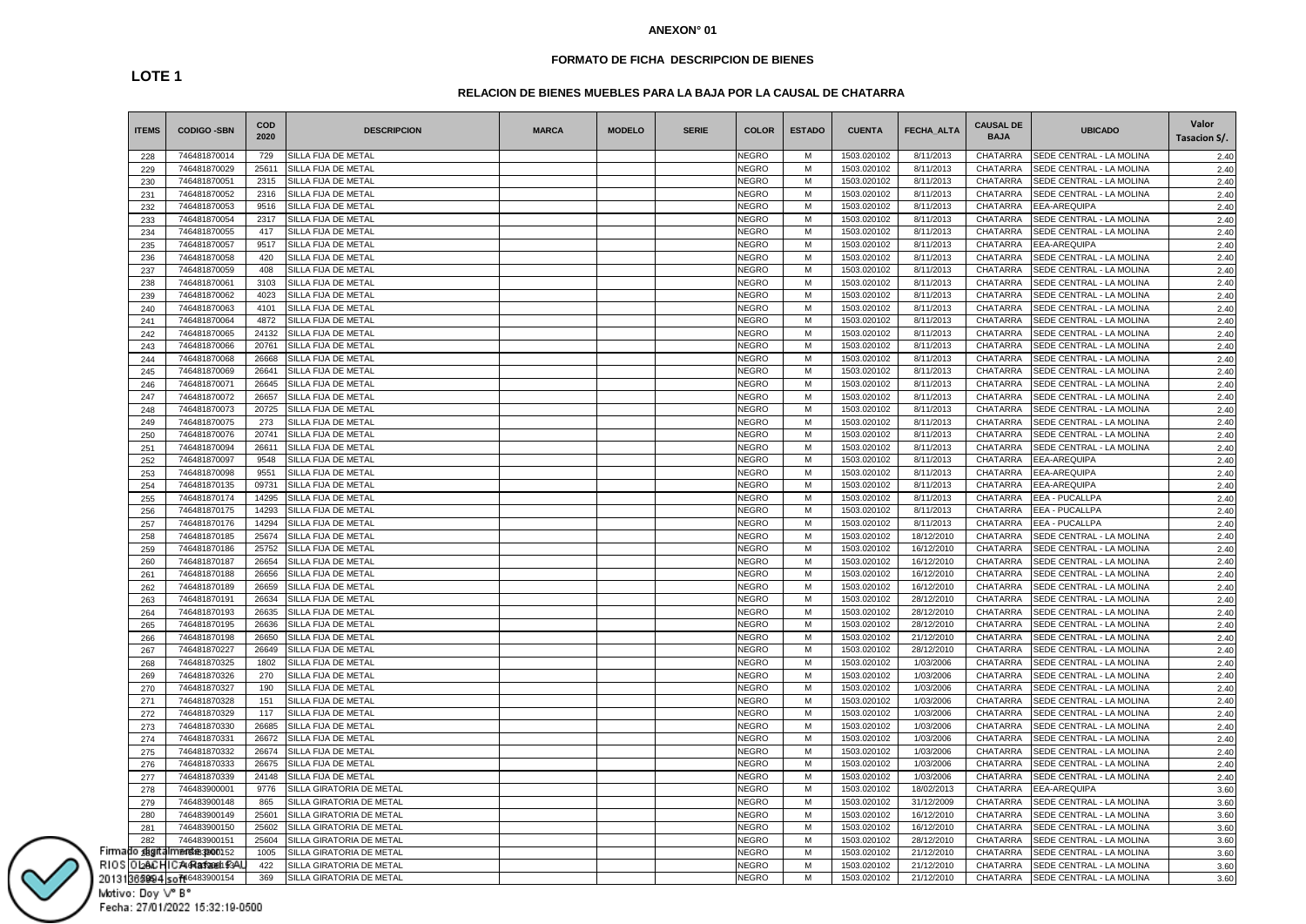### **FORMATO DE FICHA DESCRIPCION DE BIENES**

# **LOTE 1**

# **RELACION DE BIENES MUEBLES PARA LA BAJA POR LA CAUSAL DE CHATARRA**

| <b>ITEMS</b> | <b>CODIGO -SBN</b>          | COD<br>2020 | <b>DESCRIPCION</b>              | <b>MARCA</b> | <b>MODELO</b> | <b>SERIE</b> | <b>COLOR</b> | <b>ESTADO</b> | <b>CUENTA</b> | <b>FECHA ALTA</b> | <b>CAUSAL DE</b><br><b>BAJA</b> | <b>UBICADO</b>           | Valor<br>Tasacion S/. |
|--------------|-----------------------------|-------------|---------------------------------|--------------|---------------|--------------|--------------|---------------|---------------|-------------------|---------------------------------|--------------------------|-----------------------|
| 228          | 746481870014                | 729         | SILLA FIJA DE METAL             |              |               |              | NEGRO        | м             | 1503.020102   | 8/11/2013         | <b>CHATARRA</b>                 | SEDE CENTRAL - LA MOLINA | 2.40                  |
| 229          | 746481870029                | 25611       | SILLA FIJA DE METAL             |              |               |              | NEGRO        | М             | 1503.020102   | 8/11/2013         | <b>CHATARRA</b>                 | SEDE CENTRAL - LA MOLINA | 2.40                  |
| 230          | 746481870051                | 2315        | SILLA FIJA DE METAL             |              |               |              | NEGRO        | M             | 1503.020102   | 8/11/2013         | <b>CHATARRA</b>                 | SEDE CENTRAL - LA MOLINA | 2.40                  |
| 231          | 746481870052                | 2316        | SILLA FIJA DE METAL             |              |               |              | NEGRO        | M             | 1503.020102   | 8/11/2013         | CHATARRA                        | SEDE CENTRAL - LA MOLINA | 2.40                  |
| 232          | 746481870053                | 9516        | SILLA FIJA DE METAL             |              |               |              | NEGRO        | М             | 1503.020102   | 8/11/2013         | <b>CHATARRA</b>                 | EEA-AREQUIPA             | 2.40                  |
| 233          | 746481870054                | 2317        | SILLA FIJA DE METAL             |              |               |              | NEGRO        | M             | 1503.020102   | 8/11/2013         | CHATARRA                        | SEDE CENTRAL - LA MOLINA | 2.40                  |
| 234          | 746481870055                | 417         | SILLA FIJA DE METAL             |              |               |              | <b>NEGRO</b> | M             | 1503.020102   | 8/11/2013         | <b>CHATARRA</b>                 | SEDE CENTRAL - LA MOLINA | 2.40                  |
| 235          | 746481870057                | 9517        | SILLA FIJA DE METAL             |              |               |              | NEGRO        | M             | 1503.020102   | 8/11/2013         | <b>CHATARRA</b>                 | EEA-AREQUIPA             | 2.40                  |
| 236          | 746481870058                | 420         | SILLA FIJA DE METAL             |              |               |              | <b>NEGRO</b> | M             | 1503.020102   | 8/11/2013         | <b>CHATARRA</b>                 | SEDE CENTRAL - LA MOLINA | 2.40                  |
| 237          | 746481870059                | 408         | SILLA FIJA DE METAL             |              |               |              | NEGRO        | М             | 1503.020102   | 8/11/2013         | CHATARRA                        | SEDE CENTRAL - LA MOLINA | 2.40                  |
| 238          | 746481870061                | 3103        | SILLA FIJA DE METAL             |              |               |              | NEGRO        | м             | 1503.020102   | 8/11/2013         | CHATARRA                        | SEDE CENTRAL - LA MOLINA | 2.40                  |
| 239          | 746481870062                | 4023        | SILLA FIJA DE METAL             |              |               |              | NEGRO        | M             | 1503.020102   | 8/11/2013         | CHATARRA                        | SEDE CENTRAL - LA MOLINA | 2.40                  |
| 240          | 746481870063                | 4101        | SILLA FIJA DE METAL             |              |               |              | NEGRO        | M             | 1503.020102   | 8/11/2013         | CHATARRA                        | SEDE CENTRAL - LA MOLINA | 2.40                  |
| 241          | 746481870064                | 4872        | SILLA FIJA DE METAL             |              |               |              | <b>NEGRO</b> | M             | 1503.020102   | 8/11/2013         | <b>CHATARRA</b>                 | SEDE CENTRAL - LA MOLINA | 2.40                  |
| 242          | 746481870065                | 24132       | SILLA FIJA DE METAL             |              |               |              | NEGRO        | М             | 1503.020102   | 8/11/2013         | CHATARRA                        | SEDE CENTRAL - LA MOLINA | 2.40                  |
| 243          | 746481870066                | 20761       | SILLA FIJA DE METAL             |              |               |              | NEGRO        | M             | 1503.020102   | 8/11/2013         | <b>CHATARRA</b>                 | SEDE CENTRAL - LA MOLINA | 2.40                  |
| 244          | 746481870068                | 26668       | SILLA FIJA DE METAL             |              |               |              | NEGRO        | М             | 1503.020102   | 8/11/2013         | CHATARRA                        | SEDE CENTRAL - LA MOLINA | 2.40                  |
| 245          | 746481870069                | 26641       | SILLA FIJA DE METAL             |              |               |              | NEGRO        | M             | 1503.020102   | 8/11/2013         | <b>CHATARRA</b>                 | SEDE CENTRAL - LA MOLINA | 2.40                  |
| 246          | 746481870071                | 26645       | SILLA FIJA DE METAL             |              |               |              | <b>NEGRO</b> | M             | 1503.020102   | 8/11/2013         | CHATARRA                        | SEDE CENTRAL - LA MOLINA | 2.40                  |
| 247          | 746481870072                | 26657       | SILLA FIJA DE METAL             |              |               |              | NEGRO        | М             | 1503.020102   | 8/11/2013         | CHATARRA                        | SEDE CENTRAL - LA MOLINA | 2.40                  |
| 248          | 746481870073                | 20725       | SILLA FIJA DE METAL             |              |               |              | NEGRO        | М             | 1503.020102   | 8/11/2013         | CHATARRA                        | SEDE CENTRAL - LA MOLINA | 2.40                  |
| 249          | 746481870075                | 273         | SILLA FIJA DE METAL             |              |               |              | NEGRO        | M             | 1503.020102   | 8/11/2013         | CHATARRA                        | SEDE CENTRAL - LA MOLINA | 2.40                  |
| 250          | 746481870076                | 20741       | SILLA FIJA DE METAL             |              |               |              | NEGRO        | M             | 1503.020102   | 8/11/2013         | <b>CHATARRA</b>                 | SEDE CENTRAL - LA MOLINA | 2.40                  |
| 251          | 746481870094                | 26611       | SILLA FIJA DE METAL             |              |               |              | NEGRO        | M             | 1503.020102   | 8/11/2013         | CHATARRA                        | SEDE CENTRAL - LA MOLINA | 2.40                  |
| 252          | 746481870097                | 9548        | SILLA FIJA DE METAL             |              |               |              | NEGRO        | M             | 1503.020102   | 8/11/2013         | <b>CHATARRA</b>                 | EEA-AREQUIPA             | 2.40                  |
| 253          | 746481870098                | 9551        | SILLA FIJA DE METAL             |              |               |              | NEGRO        | M             | 1503.020102   | 8/11/2013         | CHATARRA                        | EEA-AREQUIPA             | 2.40                  |
| 254          | 746481870135                | 09731       | SILLA FIJA DE METAL             |              |               |              | NEGRO        | м             | 1503.020102   | 8/11/2013         | CHATARRA                        | EEA-AREQUIPA             | 2.40                  |
| 255          | 746481870174                | 14295       | SILLA FIJA DE METAL             |              |               |              | <b>NEGRO</b> | М             | 1503.020102   | 8/11/2013         | CHATARRA                        | EEA - PUCALLPA           | 2.40                  |
| 256          | 746481870175                | 14293       | SILLA FIJA DE METAL             |              |               |              | NEGRO        | М             | 1503.020102   | 8/11/2013         | <b>CHATARRA</b>                 | EEA - PUCALLPA           | 2.40                  |
| 257          | 746481870176                | 14294       | SILLA FIJA DE METAL             |              |               |              | NEGRO        | M             | 1503.020102   | 8/11/2013         | CHATARRA                        | EEA - PUCALLPA           | 2.40                  |
| 258          | 746481870185                | 25674       | SILLA FIJA DE METAL             |              |               |              | NEGRO        | M             | 1503.020102   | 18/12/2010        | CHATARRA                        | SEDE CENTRAL - LA MOLINA | 2.40                  |
| 259          | 746481870186                | 25752       | SILLA FIJA DE METAL             |              |               |              | NEGRO        | М             | 1503.020102   | 16/12/2010        | <b>CHATARRA</b>                 | SEDE CENTRAL - LA MOLINA | 2.40                  |
| 260          | 746481870187                | 26654       | SILLA FIJA DE METAL             |              |               |              | NEGRO        | М             | 1503.020102   | 16/12/2010        | CHATARRA                        | SEDE CENTRAL - LA MOLINA | 2.40                  |
| 261          | 746481870188                | 26656       | SILLA FIJA DE METAL             |              |               |              | NEGRO        | M             | 1503.020102   | 16/12/2010        | <b>CHATARRA</b>                 | SEDE CENTRAL - LA MOLINA | 2.40                  |
| 262          | 746481870189                | 26659       | SILLA FIJA DE METAL             |              |               |              | NEGRO        | M             | 1503.020102   | 16/12/2010        | CHATARRA                        | SEDE CENTRAL - LA MOLINA | 2.40                  |
| 263          | 746481870191                | 26634       | SILLA FIJA DE METAL             |              |               |              | <b>NEGRO</b> | M             | 1503.020102   | 28/12/2010        | <b>CHATARRA</b>                 | SEDE CENTRAL - LA MOLINA | 2.40                  |
| 264          | 746481870193                | 26635       | SILLA FIJA DE METAL             |              |               |              | <b>NEGRO</b> | М             | 1503.020102   | 28/12/2010        | CHATARRA                        | SEDE CENTRAL - LA MOLINA | 2.40                  |
| 265          | 746481870195                | 26636       | SILLA FIJA DE METAL             |              |               |              | NEGRO        | м             | 1503.020102   | 28/12/2010        | CHATARRA                        | SEDE CENTRAL - LA MOLINA | 2.40                  |
| 266          | 746481870198                | 26650       | SILLA FIJA DE METAL             |              |               |              | NEGRO        | M             | 1503.020102   | 21/12/2010        | CHATARRA                        | SEDE CENTRAL - LA MOLINA | 2.40                  |
| 267          | 746481870227                | 26649       | SILLA FIJA DE METAL             |              |               |              | NEGRO        | M             | 1503.020102   | 28/12/2010        | CHATARRA                        | SEDE CENTRAL - LA MOLINA | 2.40                  |
| 268          | 746481870325                | 1802        | SILLA FIJA DE METAL             |              |               |              | NEGRO        | M             | 1503.020102   | 1/03/2006         | <b>CHATARRA</b>                 | SEDE CENTRAL - LA MOLINA | 2.40                  |
| 269          | 746481870326                | 270         | SILLA FIJA DE METAL             |              |               |              | NEGRO        | М             | 1503.020102   | 1/03/2006         | CHATARRA                        | SEDE CENTRAL - LA MOLINA | 2.40                  |
| 270          | 746481870327                | 190         | SILLA FIJA DE METAL             |              |               |              | NEGRO        | M             | 1503.020102   | 1/03/2006         | CHATARRA                        | SEDE CENTRAL - LA MOLINA | 2.40                  |
| 271          | 746481870328                | 151         | SILLA FIJA DE METAL             |              |               |              | NEGRO        | М             | 1503.020102   | 1/03/2006         | CHATARRA                        | SEDE CENTRAL - LA MOLINA | 2.40                  |
| 272          | 746481870329                | 117         | SILLA FIJA DE METAL             |              |               |              | NEGRO        | M             | 1503.020102   | 1/03/2006         | <b>CHATARRA</b>                 | SEDE CENTRAL - LA MOLINA | 2.40                  |
| 273          | 746481870330                | 26685       | SILLA FIJA DE METAL             |              |               |              | <b>NEGRO</b> | M             | 1503.020102   | 1/03/2006         | CHATARRA                        | SEDE CENTRAL - LA MOLINA | 2.40                  |
| 274          | 746481870331                | 26672       | SILLA FIJA DE METAL             |              |               |              | NEGRO        | М             | 1503.020102   | 1/03/2006         | <b>CHATARRA</b>                 | SEDE CENTRAL - LA MOLINA | 2.40                  |
| 275          | 746481870332                | 26674       | SILLA FIJA DE METAL             |              |               |              | NEGRO        | M             | 1503.020102   | 1/03/2006         | CHATARRA                        | SEDE CENTRAL - LA MOLINA | 2.40                  |
| 276          | 746481870333                | 26675       | SILLA FIJA DE METAL             |              |               |              | NEGRO        | M             | 1503.020102   | 1/03/2006         | CHATARRA                        | SEDE CENTRAL - LA MOLINA | 2.40                  |
| 277          | 746481870339                | 24148       | SILLA FIJA DE METAL             |              |               |              | NEGRO        | M             | 1503.020102   | 1/03/2006         | <b>CHATARRA</b>                 | SEDE CENTRAL - LA MOLINA | 2.40                  |
| 278          | 746483900001                | 9776        | <b>SILLA GIRATORIA DE METAL</b> |              |               |              | NEGRO        | М             | 1503.020102   | 18/02/2013        | CHATARRA                        | EEA-AREQUIPA             | 3.60                  |
| 279          | 746483900148                | 865         | <b>SILLA GIRATORIA DE METAL</b> |              |               |              | NEGRO        | M             | 1503.020102   | 31/12/2009        | <b>CHATARRA</b>                 | SEDE CENTRAL - LA MOLINA | 3.60                  |
| 280          | 746483900149                | 25601       | SILLA GIRATORIA DE METAL        |              |               |              | NEGRO        | M             | 1503.020102   | 16/12/2010        | CHATARRA                        | SEDE CENTRAL - LA MOLINA | 3.60                  |
| 281          | 746483900150                | 25602       | SILLA GIRATORIA DE METAL        |              |               |              | NEGRO        | м             | 1503.020102   | 16/12/2010        | CHATARRA                        | SEDE CENTRAL - LA MOLINA | 3.60                  |
| 282          | 746483900151                | 25604       | SILLA GIRATORIA DE METAL        |              |               |              | NEGRO        | М             | 1503.020102   | 28/12/2010        | <b>CHATARRA</b>                 | SEDE CENTRAL - LA MOLINA | 3.60                  |
| o gigita     | <b>Imerste 3900152</b>      | 1005        | SILLA GIRATORIA DE METAL        |              |               |              | NEGRO        | М             | 1503.020102   | 21/12/2010        | CHATARRA                        | SEDE CENTRAL - LA MOLINA | 3.60                  |
|              | ) L28AC HIC A46Ra330001 53A | 422         | SILLA GIRATORIA DE METAL        |              |               |              | NEGRO        | M             | 1503.020102   | 21/12/2010        | <b>CHATARRA</b>                 | SEDE CENTRAL - LA MOLINA | 3.60                  |
|              | 362994 sof#6483900154       | 369         | SILLA GIRATORIA DE METAL        |              |               |              | <b>NEGRO</b> | M             | 1503.020102   | 21/12/2010        | CHATARRA                        | SEDE CENTRAL - LA MOLINA | 3.60                  |

Firma RIOS 

## Motivo: Doy V° B° Fecha: 27/01/2022 15:32:19-0500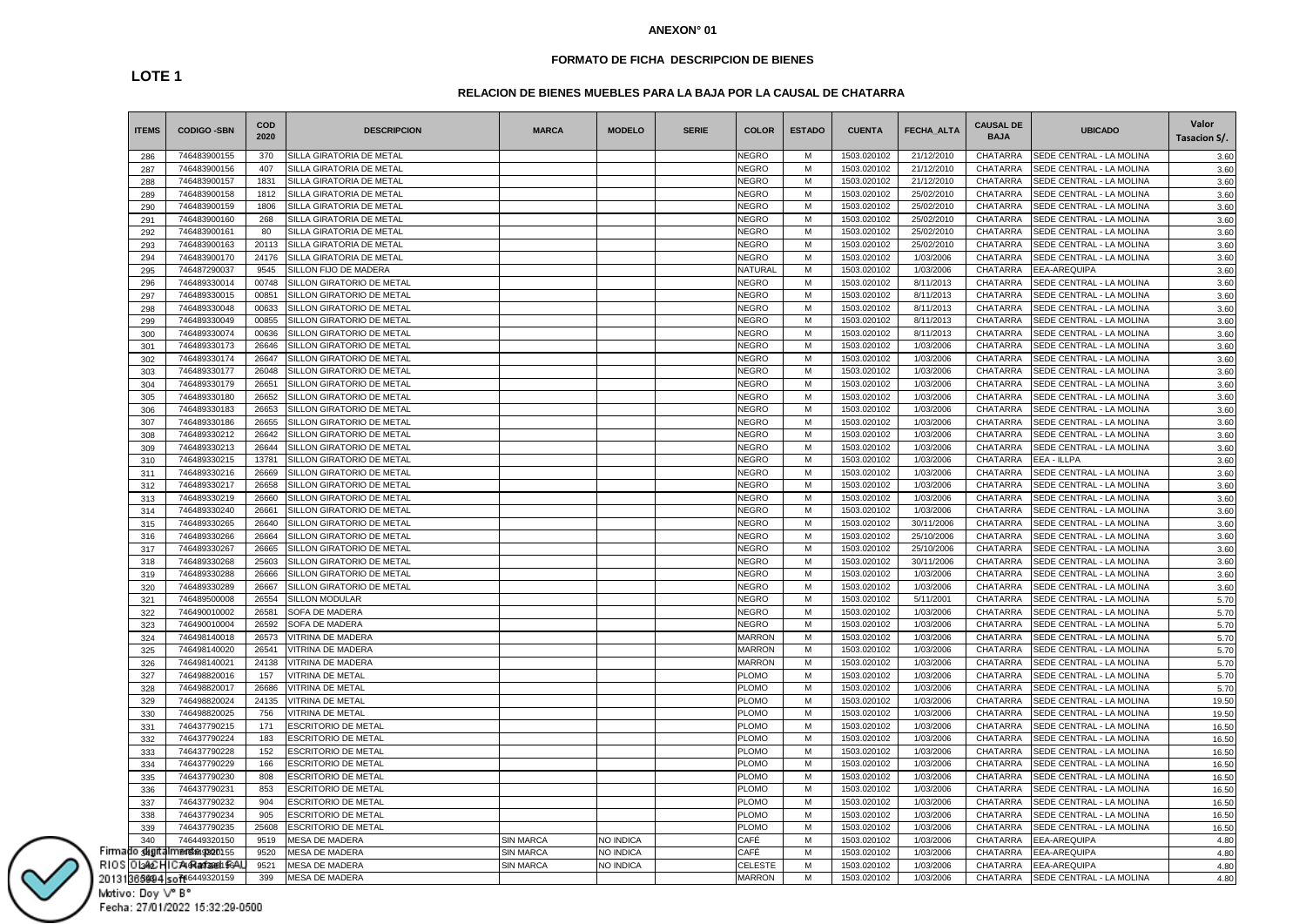### **FORMATO DE FICHA DESCRIPCION DE BIENES**

# **RELACION DE BIENES MUEBLES PARA LA BAJA POR LA CAUSAL DE CHATARRA**

| <b>ITEMS</b> | <b>CODIGO -SBN</b>     | <b>COD</b><br>2020 | <b>DESCRIPCION</b>         | <b>MARCA</b>     | <b>MODELO</b> | <b>SERIE</b> | <b>COLOR</b>   | <b>ESTADO</b> | <b>CUENTA</b> | FECHA_ALTA | <b>CAUSAL DE</b><br><b>BAJA</b> | <b>UBICADO</b>           | Valor<br>Tasacion S/. |
|--------------|------------------------|--------------------|----------------------------|------------------|---------------|--------------|----------------|---------------|---------------|------------|---------------------------------|--------------------------|-----------------------|
| 286          | 746483900155           | 370                | SILLA GIRATORIA DE METAL   |                  |               |              | <b>NEGRO</b>   | м             | 1503.020102   | 21/12/2010 | <b>CHATARRA</b>                 | SEDE CENTRAL - LA MOLINA | 3.60                  |
| 287          | 746483900156           | 407                | SILLA GIRATORIA DE METAL   |                  |               |              | <b>NEGRO</b>   | М             | 1503.020102   | 21/12/2010 | CHATARRA                        | SEDE CENTRAL - LA MOLINA | 3.60                  |
| 288          | 746483900157           | 1831               | SILLA GIRATORIA DE METAL   |                  |               |              | <b>NEGRO</b>   | М             | 1503.020102   | 21/12/2010 | CHATARRA                        | SEDE CENTRAL - LA MOLINA | 3.60                  |
| 289          | 746483900158           | 1812               | SILLA GIRATORIA DE METAL   |                  |               |              | <b>NEGRO</b>   | М             | 1503.020102   | 25/02/2010 | CHATARRA                        | SEDE CENTRAL - LA MOLINA | 3.60                  |
| 290          | 746483900159           | 1806               | SILLA GIRATORIA DE METAL   |                  |               |              | <b>NEGRO</b>   | М             | 1503.020102   | 25/02/2010 | CHATARRA                        | SEDE CENTRAL - LA MOLINA | 3.60                  |
| 291          | 746483900160           | 268                | SILLA GIRATORIA DE METAL   |                  |               |              | NEGRO          | М             | 1503.020102   | 25/02/2010 | CHATARRA                        | SEDE CENTRAL - LA MOLINA | 3.60                  |
| 292          | 746483900161           | 80                 | SILLA GIRATORIA DE METAL   |                  |               |              | <b>NEGRO</b>   | M             | 1503.020102   | 25/02/2010 | <b>CHATARRA</b>                 | SEDE CENTRAL - LA MOLINA | 3.60                  |
| 293          | 746483900163           | 20113              | SILLA GIRATORIA DE METAL   |                  |               |              | <b>NEGRO</b>   | М             | 1503.020102   | 25/02/2010 | CHATARRA                        | SEDE CENTRAL - LA MOLINA | 3.60                  |
| 294          | 746483900170           | 24176              | SILLA GIRATORIA DE METAL   |                  |               |              | <b>NEGRO</b>   | М             | 1503.020102   | 1/03/2006  | CHATARRA                        | SEDE CENTRAL - LA MOLINA | 3.60                  |
| 295          | 746487290037           | 9545               | SILLON FIJO DE MADERA      |                  |               |              | <b>NATURAL</b> | M             | 1503.020102   | 1/03/2006  | <b>CHATARRA</b>                 | EEA-AREQUIPA             | 3.60                  |
| 296          | 746489330014           | 00748              | SILLON GIRATORIO DE METAL  |                  |               |              | <b>NEGRO</b>   | М             | 1503.020102   | 8/11/2013  | CHATARRA                        | SEDE CENTRAL - LA MOLINA | 3.60                  |
| 297          | 746489330015           | 00851              | SILLON GIRATORIO DE METAL  |                  |               |              | <b>NEGRO</b>   | М             | 1503.020102   | 8/11/2013  | CHATARRA                        | SEDE CENTRAL - LA MOLINA | 3.60                  |
| 298          | 746489330048           | 00633              | SILLON GIRATORIO DE METAL  |                  |               |              | <b>NEGRO</b>   | М             | 1503.020102   | 8/11/2013  | CHATARRA                        | SEDE CENTRAL - LA MOLINA | 3.60                  |
| 299          | 746489330049           | 00855              | SILLON GIRATORIO DE METAL  |                  |               |              | <b>NEGRO</b>   | M             | 1503.020102   | 8/11/2013  | CHATARRA                        | SEDE CENTRAL - LA MOLINA | 3.60                  |
| 300          | 746489330074           | 00636              | SILLON GIRATORIO DE METAL  |                  |               |              | NEGRO          | М             | 1503.020102   | 8/11/2013  | CHATARRA                        | SEDE CENTRAL - LA MOLINA | 3.60                  |
| 301          | 746489330173           | 26646              | SILLON GIRATORIO DE METAL  |                  |               |              | <b>NEGRO</b>   | M             | 1503.020102   | 1/03/2006  | <b>CHATARRA</b>                 | SEDE CENTRAL - LA MOLINA | 3.60                  |
| 302          | 746489330174           | 26647              | SILLON GIRATORIO DE METAL  |                  |               |              | <b>NEGRO</b>   | М             | 1503.020102   | 1/03/2006  | CHATARRA                        | SEDE CENTRAL - LA MOLINA | 3.60                  |
| 303          | 746489330177           | 26048              | SILLON GIRATORIO DE METAL  |                  |               |              | <b>NEGRO</b>   | M             | 1503.020102   | 1/03/2006  | CHATARRA                        | SEDE CENTRAL - LA MOLINA | 3.60                  |
| 304          | 746489330179           | 26651              | SILLON GIRATORIO DE METAL  |                  |               |              | <b>NEGRO</b>   | М             | 1503.020102   | 1/03/2006  | CHATARRA                        | SEDE CENTRAL - LA MOLINA | 3.60                  |
| 305          | 746489330180           | 26652              | SILLON GIRATORIO DE METAL  |                  |               |              | <b>NEGRO</b>   | М             | 1503.020102   | 1/03/2006  | CHATARRA                        | SEDE CENTRAL - LA MOLINA | 3.60                  |
| 306          | 746489330183           | 26653              | SILLON GIRATORIO DE METAL  |                  |               |              | <b>NEGRO</b>   | М             | 1503.020102   | 1/03/2006  | CHATARRA                        | SEDE CENTRAL - LA MOLINA | 3.60                  |
| 307          | 746489330186           | 26655              | SILLON GIRATORIO DE METAL  |                  |               |              | <b>NEGRO</b>   | М             | 1503.020102   | 1/03/2006  | CHATARRA                        | SEDE CENTRAL - LA MOLINA | 3.60                  |
| 308          | 746489330212           | 26642              | SILLON GIRATORIO DE METAL  |                  |               |              | <b>NEGRO</b>   | M             | 1503.020102   | 1/03/2006  | CHATARRA                        | SEDE CENTRAL - LA MOLINA | 3.60                  |
| 309          | 746489330213           | 26644              | SILLON GIRATORIO DE METAL  |                  |               |              | <b>NEGRO</b>   | М             | 1503.020102   | 1/03/2006  | CHATARRA                        | SEDE CENTRAL - LA MOLINA | 3.60                  |
| 310          | 746489330215           | 13781              | SILLON GIRATORIO DE METAL  |                  |               |              | <b>NEGRO</b>   | М             | 1503.020102   | 1/03/2006  | CHATARRA                        | EEA - ILLPA              | 3.60                  |
| 311          | 746489330216           | 26669              | SILLON GIRATORIO DE METAL  |                  |               |              | <b>NEGRO</b>   | М             | 1503.020102   | 1/03/2006  | CHATARRA                        | SEDE CENTRAL - LA MOLINA | 3.60                  |
| 312          | 746489330217           | 26658              | SILLON GIRATORIO DE METAL  |                  |               |              | <b>NEGRO</b>   | М             | 1503.020102   | 1/03/2006  | CHATARRA                        | SEDE CENTRAL - LA MOLINA | 3.60                  |
| 313          | 746489330219           | 26660              | SILLON GIRATORIO DE METAL  |                  |               |              | <b>NEGRO</b>   | М             | 1503.020102   | 1/03/2006  | CHATARRA                        | SEDE CENTRAL - LA MOLINA | 3.60                  |
| 314          | 746489330240           | 26661              | SILLON GIRATORIO DE METAL  |                  |               |              | <b>NEGRO</b>   | М             | 1503.020102   | 1/03/2006  | CHATARRA                        | SEDE CENTRAL - LA MOLINA | 3.60                  |
| 315          | 746489330265           | 26640              | SILLON GIRATORIO DE METAL  |                  |               |              | <b>NEGRO</b>   | М             | 1503.020102   | 30/11/2006 | CHATARRA                        | SEDE CENTRAL - LA MOLINA | 3.60                  |
| 316          | 746489330266           | 26664              | SILLON GIRATORIO DE METAL  |                  |               |              | <b>NEGRO</b>   | M             | 1503.020102   | 25/10/2006 | CHATARRA                        | SEDE CENTRAL - LA MOLINA | 3.60                  |
| 317          | 746489330267           | 26665              | SILLON GIRATORIO DE METAL  |                  |               |              | <b>NEGRO</b>   | M             | 1503.020102   | 25/10/2006 | CHATARRA                        | SEDE CENTRAL - LA MOLINA | 3.60                  |
| 318          | 746489330268           | 25603              | SILLON GIRATORIO DE METAL  |                  |               |              | NEGRO          | М             | 1503.020102   | 30/11/2006 | CHATARRA                        | SEDE CENTRAL - LA MOLINA | 3.60                  |
| 319          | 746489330288           | 26666              | SILLON GIRATORIO DE METAL  |                  |               |              | <b>NEGRO</b>   | М             | 1503.020102   | 1/03/2006  | CHATARRA                        | SEDE CENTRAL - LA MOLINA | 3.60                  |
| 320          | 746489330289           | 26667              | SILLON GIRATORIO DE METAL  |                  |               |              | <b>NEGRO</b>   | M             | 1503.020102   | 1/03/2006  | CHATARRA                        | SEDE CENTRAL - LA MOLINA | 3.60                  |
| 321          | 746489500008           | 26554              | <b>SILLON MODULAR</b>      |                  |               |              | <b>NEGRO</b>   | M             | 1503.020102   | 5/11/2001  | CHATARRA                        | SEDE CENTRAL - LA MOLINA | 5.70                  |
| 322          | 746490010002           | 26581              | SOFA DE MADERA             |                  |               |              | <b>NEGRO</b>   | M             | 1503.020102   | 1/03/2006  | CHATARRA                        | SEDE CENTRAL - LA MOLINA | 5.70                  |
| 323          | 746490010004           | 26592              | SOFA DE MADERA             |                  |               |              | <b>NEGRO</b>   | М             | 1503.020102   | 1/03/2006  | CHATARRA                        | SEDE CENTRAL - LA MOLINA | 5.70                  |
| 324          | 746498140018           | 26573              | VITRINA DE MADERA          |                  |               |              | <b>MARRON</b>  | M             | 1503.020102   | 1/03/2006  | CHATARRA                        | SEDE CENTRAL - LA MOLINA | 5.70                  |
| 325          | 746498140020           | 26541              | VITRINA DE MADERA          |                  |               |              | <b>MARRON</b>  | M             | 1503.020102   | 1/03/2006  | CHATARRA                        | SEDE CENTRAL - LA MOLINA | 5.70                  |
| 326          | 746498140021           | 24138              | <b>/ITRINA DE MADERA</b>   |                  |               |              | <b>MARRON</b>  | M             | 1503.020102   | 1/03/2006  | CHATARRA                        | SEDE CENTRAL - LA MOLINA | 5.70                  |
| 327          | 746498820016           | 157                | <b>/ITRINA DE METAL</b>    |                  |               |              | <b>PLOMO</b>   | М             | 1503.020102   | 1/03/2006  | CHATARRA                        | SEDE CENTRAL - LA MOLINA | 5.70                  |
| 328          | 746498820017           | 26686              | VITRINA DE METAL           |                  |               |              | <b>PLOMO</b>   | М             | 1503.020102   | 1/03/2006  | CHATARRA                        | SEDE CENTRAL - LA MOLINA | 5.70                  |
| 329          | 746498820024           | 24135              | <b>VITRINA DE METAL</b>    |                  |               |              | PLOMO          | M             | 1503.020102   | 1/03/2006  | CHATARRA                        | SEDE CENTRAL - LA MOLINA | 19.50                 |
| 330          | 746498820025           | 756                | <b>ITRINA DE METAL</b>     |                  |               |              | <b>PLOMO</b>   | M             | 1503.020102   | 1/03/2006  | CHATARRA                        | SEDE CENTRAL - LA MOLINA | 19.50                 |
| 331          | 746437790215           | 171                | ESCRITORIO DE METAL        |                  |               |              | <b>PLOMO</b>   | М             | 1503.020102   | 1/03/2006  | CHATARRA                        | SEDE CENTRAL - LA MOLINA | 16.50                 |
| 332          | 746437790224           | 183                | <b>ESCRITORIO DE METAL</b> |                  |               |              | <b>PLOMO</b>   | М             | 1503.020102   | 1/03/2006  | CHATARRA                        | SEDE CENTRAL - LA MOLINA | 16.50                 |
| 333          | 746437790228           | 152                | <b>ESCRITORIO DE METAL</b> |                  |               |              | PLOMO          | M             | 1503.020102   | 1/03/2006  | CHATARRA                        | SEDE CENTRAL - LA MOLINA | 16.50                 |
| 334          | 746437790229           | 166                | <b>ESCRITORIO DE METAL</b> |                  |               |              | <b>PLOMO</b>   | M             | 1503.020102   | 1/03/2006  | CHATARRA                        | SEDE CENTRAL - LA MOLINA | 16.50                 |
| 335          | 746437790230           | 808                | <b>ESCRITORIO DE METAL</b> |                  |               |              | <b>PLOMO</b>   | М             | 1503.020102   | 1/03/2006  | <b>CHATARRA</b>                 | SEDE CENTRAL - LA MOLINA | 16.50                 |
| 336          | 746437790231           | 853                | <b>ESCRITORIO DE METAL</b> |                  |               |              | <b>PLOMO</b>   | М             | 1503.020102   | 1/03/2006  | CHATARRA                        | SEDE CENTRAL - LA MOLINA | 16.50                 |
| 337          | 746437790232           | 904                | <b>ESCRITORIO DE METAL</b> |                  |               |              | <b>PLOMO</b>   | M             | 1503.020102   | 1/03/2006  | CHATARRA                        | SEDE CENTRAL - LA MOLINA | 16.50                 |
| 338          | 746437790234           | 905                | <b>ESCRITORIO DE METAL</b> |                  |               |              | <b>PLOMO</b>   | M             | 1503.020102   | 1/03/2006  | CHATARRA                        | SEDE CENTRAL - LA MOLINA | 16.50                 |
| 339          | 746437790235           | 25608              | <b>ESCRITORIO DE METAL</b> |                  |               |              | <b>PLOMO</b>   | M             | 1503.020102   | 1/03/2006  | CHATARRA                        | SEDE CENTRAL - LA MOLINA | 16.50                 |
| 340          | 746449320150           | 9519               | MESA DE MADERA             | <b>SIN MARCA</b> | NO INDICA     |              | CAFÉ           | М             | 1503.020102   | 1/03/2006  | CHATARRA                        | EEA-AREQUIPA             | 4.80                  |
| o sligit     | <b>mendaa 9320155</b>  | 9520               | MESA DE MADERA             | <b>SIN MARCA</b> | NO INDICA     |              | CAFÉ           | М             | 1503.020102   | 1/03/2006  | CHATARRA                        | EEA-AREQUIPA             | 4.80                  |
| 0 L342C H    | C7464a9388156A         | 9521               | <b>MESA DE MADERA</b>      | <b>SIN MARCA</b> | NO INDICA     |              | <b>CELESTE</b> | M             | 1503.020102   | 1/03/2006  | <b>CHATARRA</b>                 | EEA-AREQUIPA             | 4.80                  |
|              | 365994 soft+6449320159 | 399                | MESA DE MADERA             |                  |               |              | <b>MARRON</b>  | M             | 1503.020102   | 1/03/2006  | CHATARRA                        | SEDE CENTRAL - LA MOLINA | 4.80                  |

**LOTE 1**

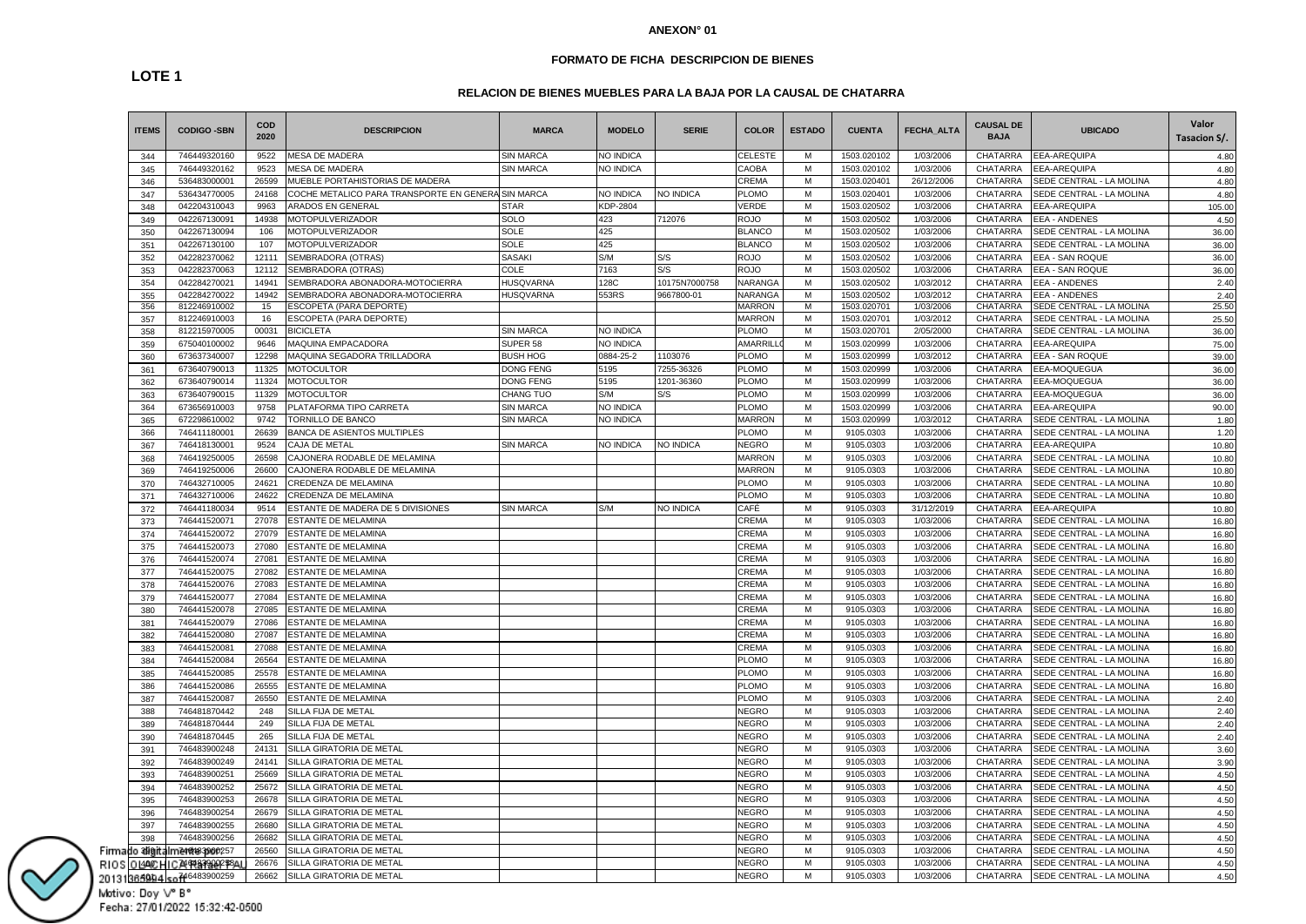### **FORMATO DE FICHA DESCRIPCION DE BIENES**

# **RELACION DE BIENES MUEBLES PARA LA BAJA POR LA CAUSAL DE CHATARRA**

| <b>ITEMS</b> | <b>CODIGO -SBN</b>       | <b>COD</b><br>2020 | <b>DESCRIPCION</b>                                 | <b>MARCA</b>     | <b>MODELO</b>    | <b>SERIE</b>     | <b>COLOR</b>   | <b>ESTADO</b> | <b>CUENTA</b> | <b>FECHA ALTA</b> | <b>CAUSAL DE</b><br><b>BAJA</b> | <b>UBICADO</b>                 | Valor<br>Tasacion S/. |
|--------------|--------------------------|--------------------|----------------------------------------------------|------------------|------------------|------------------|----------------|---------------|---------------|-------------------|---------------------------------|--------------------------------|-----------------------|
| 344          | 746449320160             | 9522               | <b>MESA DE MADERA</b>                              | <b>SIN MARCA</b> | NO INDICA        |                  | <b>CELESTE</b> | м             | 1503.020102   | 1/03/2006         | <b>CHATARRA</b>                 | <b>EEA-AREQUIPA</b>            | 4.80                  |
| 345          | 746449320162             | 9523               | MESA DE MADERA                                     | <b>SIN MARCA</b> | NO INDICA        |                  | CAOBA          | M             | 1503.020102   | 1/03/2006         | <b>CHATARRA</b>                 | <b>EEA-AREQUIPA</b>            | 4.80                  |
| 346          | 536483000001             | 26599              | <b><i>INDEBLE PORTAHISTORIAS DE MADERA</i></b>     |                  |                  |                  | CREMA          | M             | 1503.020401   | 26/12/2006        | CHATARRA                        | SEDE CENTRAL - LA MOLINA       | 4.80                  |
| 347          | 536434770005             | 24168              | COCHE METALICO PARA TRANSPORTE EN GENERA SIN MARCA |                  | NO INDICA        | NO INDICA        | PLOMO          | М             | 1503.020401   | 1/03/2006         | CHATARRA                        | SEDE CENTRAL - LA MOLINA       | 4.80                  |
| 348          | 042204310043             | 9963               | ARADOS EN GENERAL                                  | <b>STAR</b>      | KDP-2804         |                  | VERDE          | M             | 1503.020502   | 1/03/2006         | CHATARRA                        | EEA-AREQUIPA                   | 105.00                |
| 349          | 042267130091             | 14938              | <b>MOTOPULVERIZADOR</b>                            | SOLO             | 423              | 712076           | <b>ROJO</b>    | M             | 1503.020502   | 1/03/2006         | CHATARRA                        | <b>EEA - ANDENES</b>           | 4.50                  |
| 350          | 042267130094             | 106                | MOTOPULVERIZADOR                                   | SOLE             | 425              |                  | <b>BLANCO</b>  | M             | 1503.020502   | 1/03/2006         | CHATARRA                        | SEDE CENTRAL - LA MOLINA       | 36.00                 |
| 351          | 042267130100             | 107                | <b>MOTOPULVERIZADOR</b>                            | SOLE             | 425              |                  | <b>BLANCO</b>  | M             | 1503.020502   | 1/03/2006         | CHATARRA                        | SEDE CENTRAL - LA MOLINA       | 36.00                 |
| 352          | 042282370062             | 12111              | SEMBRADORA (OTRAS)                                 | <b>SASAKI</b>    | S/M              | S/S              | <b>ROJO</b>    | M             | 1503.020502   | 1/03/2006         | CHATARRA                        | <b>EEA - SAN ROQUE</b>         | 36.00                 |
| 353          | 042282370063             | 12112              | SEMBRADORA (OTRAS)                                 | COLE             | 7163             | S/S              | ROJO           | M             | 1503.020502   | 1/03/2006         | CHATARRA                        | EEA - SAN ROQUE                | 36.00                 |
| 354          | 042284270021             | 14941              | SEMBRADORA ABONADORA-MOTOCIERRA                    | <b>HUSQVARNA</b> | 128C             | 10175N7000758    | <b>NARANGA</b> | M             | 1503.020502   | 1/03/2012         | CHATARRA                        | <b>EEA - ANDENES</b>           | 2.40                  |
| 355          | 042284270022             | 14942              | SEMBRADORA ABONADORA-MOTOCIERRA                    | <b>HUSQVARNA</b> | 553RS            | 9667800-01       | <b>NARANGA</b> | M             | 1503.020502   | 1/03/2012         | CHATARRA                        | <b>EEA - ANDENES</b>           | 2.40                  |
| 356          | 812246910002             | 15                 | <b>SCOPETA (PARA DEPORTE)</b>                      |                  |                  |                  | <b>MARRON</b>  | M             | 1503.020701   | 1/03/2006         | <b>CHATARRA</b>                 | SEDE CENTRAL - LA MOLINA       | 25.50                 |
| 357          | 812246910003             | 16                 | ESCOPETA (PARA DEPORTE)                            |                  |                  |                  | <b>MARRON</b>  | М             | 1503.020701   | 1/03/2012         | CHATARRA                        | SEDE CENTRAL - LA MOLINA       | 25.50                 |
| 358          | 812215970005             | 00031              | <b>BICICLETA</b>                                   | SIN MARCA        | NO INDICA        |                  | <b>PLOMO</b>   | М             | 1503.020701   | 2/05/2000         | CHATARRA                        | SEDE CENTRAL - LA MOLINA       | 36.00                 |
| 359          | 675040100002             | 9646               | MAQUINA EMPACADORA                                 | SUPER 58         | <b>NO INDICA</b> |                  | AMARRILI       | M             | 1503.020999   | 1/03/2006         | CHATARRA                        | EEA-AREQUIPA                   | 75.00                 |
| 360          | 673637340007             | 12298              | MAQUINA SEGADORA TRILLADORA                        | <b>BUSH HOG</b>  | 0884-25-2        | 1103076          | PLOMO          | M             | 1503.020999   | 1/03/2012         | CHATARRA                        | EEA - SAN ROQUE                | 39.00                 |
| 361          | 673640790013             | 11325              | <b>MOTOCULTOR</b>                                  | <b>DONG FENG</b> | 5195             | 7255-36326       | PLOMO          | M             | 1503.020999   | 1/03/2006         | CHATARRA                        | EEA-MOQUEGUA                   | 36.00                 |
| 362          | 673640790014             | 11324              | <b>MOTOCULTOR</b>                                  | <b>DONG FENG</b> | 5195             | 1201-36360       | <b>PLOMO</b>   | M             | 1503.020999   | 1/03/2006         | CHATARRA                        | EEA-MOQUEGUA                   | 36.00                 |
| 363          | 673640790015             | 11329              | <b>MOTOCULTOR</b>                                  | CHANG TUO        | S/M              | S/S              | <b>PLOMO</b>   | M             | 1503.020999   | 1/03/2006         | CHATARRA                        | EEA-MOQUEGUA                   | 36.00                 |
| 364          | 673656910003             | 9758               | PLATAFORMA TIPO CARRETA                            | <b>SIN MARCA</b> | NO INDICA        |                  | <b>PLOMO</b>   | м             | 1503.020999   | 1/03/2006         | CHATARRA                        | <b>EEA-AREQUIPA</b>            | 90.00                 |
| 365          | 672298610002             | 9742               | <b>FORNILLO DE BANCO</b>                           | <b>SIN MARCA</b> | NO INDICA        |                  | <b>MARRON</b>  | M             | 1503.020999   | 1/03/2012         | CHATARRA                        | SEDE CENTRAL - LA MOLINA       | 1.80                  |
| 366          | 746411180001             | 26639              | BANCA DE ASIENTOS MULTIPLES                        |                  |                  |                  | <b>PLOMO</b>   | М             | 9105.0303     | 1/03/2006         | <b>CHATARRA</b>                 | SEDE CENTRAL - LA MOLINA       | 1.20                  |
| 367          | 746418130001             | 9524               | CAJA DE METAL                                      | SIN MARCA        | NO INDICA        | NO INDICA        | <b>NEGRO</b>   | M             | 9105.0303     | 1/03/2006         | CHATARRA                        | EEA-AREQUIPA                   | 10.80                 |
| 368          | 746419250005             | 26598              | CAJONERA RODABLE DE MELAMINA                       |                  |                  |                  | <b>MARRON</b>  | М             | 9105.0303     | 1/03/2006         | CHATARRA                        | SEDE CENTRAL - LA MOLINA       | 10.80                 |
| 369          | 746419250006             | 26600              | CAJONERA RODABLE DE MELAMINA                       |                  |                  |                  | <b>MARRON</b>  | M             | 9105.0303     | 1/03/2006         | CHATARRA                        | SEDE CENTRAL - LA MOLINA       | 10.80                 |
| 370          | 746432710005             | 24621              | CREDENZA DE MELAMINA                               |                  |                  |                  | <b>PLOMO</b>   | M             | 9105.0303     | 1/03/2006         | CHATARRA                        | SEDE CENTRAL - LA MOLINA       | 10.80                 |
| 371          | 746432710006             | 24622              | CREDENZA DE MELAMINA                               |                  |                  |                  | <b>PLOMO</b>   | M             | 9105.0303     | 1/03/2006         | CHATARRA                        | SEDE CENTRAL - LA MOLINA       | 10.80                 |
| 372          | 746441180034             | 9514               | ESTANTE DE MADERA DE 5 DIVISIONES                  | <b>SIN MARCA</b> | S/M              | <b>NO INDICA</b> | CAFÉ           | M             | 9105.0303     | 31/12/2019        | CHATARRA                        | <b>EEA-AREQUIPA</b>            | 10.80                 |
| 373          | 746441520071             | 27078              | ESTANTE DE MELAMINA                                |                  |                  |                  | CREMA          | M             | 9105.0303     | 1/03/2006         | CHATARRA                        | SEDE CENTRAL - LA MOLINA       | 16.80                 |
| 374          | 746441520072             | 27079              | ESTANTE DE MELAMINA                                |                  |                  |                  | CREMA          | М             | 9105.0303     | 1/03/2006         | CHATARRA                        | SEDE CENTRAL - LA MOLINA       | 16.80                 |
| 375          | 746441520073             | 27080              | <b>ESTANTE DE MELAMINA</b>                         |                  |                  |                  | CREMA          | М             | 9105.0303     | 1/03/2006         | CHATARRA                        | SEDE CENTRAL - LA MOLINA       | 16.80                 |
| 376          | 746441520074             | 27081              | ESTANTE DE MELAMINA                                |                  |                  |                  | CREMA          | М             | 9105.0303     | 1/03/2006         | CHATARRA                        | SEDE CENTRAL - LA MOLINA       | 16.80                 |
| 377          | 746441520075             | 27082              | ESTANTE DE MELAMINA                                |                  |                  |                  | CREMA          | М             | 9105.0303     | 1/03/2006         | CHATARRA                        | SEDE CENTRAL - LA MOLINA       | 16.80                 |
| 378          | 746441520076             | 27083              | <b>ESTANTE DE MELAMINA</b>                         |                  |                  |                  | CREMA          | M             | 9105.0303     | 1/03/2006         | CHATARRA                        | SEDE CENTRAL - LA MOLINA       | 16.80                 |
| 379          | 746441520077             | 27084              | <b>ESTANTE DE MELAMINA</b>                         |                  |                  |                  | CREMA          | M             | 9105.0303     | 1/03/2006         | CHATARRA                        | SEDE CENTRAL - LA MOLINA       | 16.80                 |
| 380          | 746441520078             | 27085              | <b>ESTANTE DE MELAMINA</b>                         |                  |                  |                  | CREMA          | M             | 9105.0303     | 1/03/2006         | CHATARRA                        | SEDE CENTRAL - LA MOLINA       | 16.80                 |
| 381          | 746441520079             | 27086              | <b>ESTANTE DE MELAMINA</b>                         |                  |                  |                  | CREMA          | M             | 9105.0303     | 1/03/2006         | CHATARRA                        | SEDE CENTRAL - LA MOLINA       | 16.80                 |
| 382          | 746441520080             | 27087              | ESTANTE DE MELAMINA                                |                  |                  |                  | CREMA          | М             | 9105.0303     | 1/03/2006         | CHATARRA                        | SEDE CENTRAL - LA MOLINA       | 16.80                 |
| 383          | 746441520081             | 27088              | <b>ESTANTE DE MELAMINA</b>                         |                  |                  |                  | CREMA          | М             | 9105.0303     | 1/03/2006         | CHATARRA                        | SEDE CENTRAL - LA MOLINA       | 16.80                 |
| 384          | 746441520084             | 26564              | <b>ESTANTE DE MELAMINA</b>                         |                  |                  |                  | <b>PLOMO</b>   | М             | 9105.0303     | 1/03/2006         | CHATARRA                        | SEDE CENTRAL - LA MOLINA       | 16.80                 |
| 385          | 746441520085             | 25578              | ESTANTE DE MELAMINA                                |                  |                  |                  | PLOMO          | М             | 9105.0303     | 1/03/2006         | CHATARRA                        | SEDE CENTRAL - LA MOLINA       | 16.80                 |
| 386          | 746441520086             | 26555              | ESTANTE DE MELAMINA                                |                  |                  |                  | <b>PLOMO</b>   | М             | 9105.0303     | 1/03/2006         | CHATARRA                        | SEDE CENTRAL - LA MOLINA       | 16.80                 |
| 387          | 746441520087             | 26550              | ESTANTE DE MELAMINA                                |                  |                  |                  | PLOMO          | M             | 9105.0303     | 1/03/2006         | CHATARRA                        | SEDE CENTRAL - LA MOLINA       | 2.40                  |
| 388          | 746481870442             | 248                | SILLA FIJA DE METAL                                |                  |                  |                  | <b>NEGRO</b>   | M             | 9105.0303     | 1/03/2006         | CHATARRA                        | SEDE CENTRAL - LA MOLINA       | 2.40                  |
| 389          | 746481870444             | 249                | SILLA FIJA DE METAL                                |                  |                  |                  | NEGRO          | M             | 9105.0303     | 1/03/2006         | <b>CHATARRA</b>                 | SEDE CENTRAL - LA MOLINA       | 2.40                  |
| 390          | 746481870445             | 265                | SILLA FIJA DE METAL                                |                  |                  |                  | <b>NEGRO</b>   | M             | 9105.0303     | 1/03/2006         | CHATARRA                        | SEDE CENTRAL - LA MOLINA       | 2.40                  |
| 391          | 746483900248             | 24131              | SILLA GIRATORIA DE METAL                           |                  |                  |                  | <b>NEGRO</b>   | м             | 9105.0303     | 1/03/2006         | CHATARRA                        | SEDE CENTRAL - LA MOLINA       | 3.60                  |
| 392          | 746483900249             | 24141              | SILLA GIRATORIA DE METAL                           |                  |                  |                  | <b>NEGRO</b>   | M             | 9105.0303     | 1/03/2006         | CHATARRA                        | SEDE CENTRAL - LA MOLINA       | 3.90                  |
| 393          | 746483900251             | 25669              | SILLA GIRATORIA DE METAL                           |                  |                  |                  | <b>NEGRO</b>   | М             | 9105.0303     | 1/03/2006         | CHATARRA                        | SEDE CENTRAL - LA MOLINA       | 4.50                  |
| 394          | 746483900252             | 25672              | SILLA GIRATORIA DE METAL                           |                  |                  |                  | <b>NEGRO</b>   | М             | 9105.0303     | 1/03/2006         | CHATARRA                        | SEDE CENTRAL - LA MOLINA       | 4.50                  |
| 395          | 746483900253             | 26678              | SILLA GIRATORIA DE METAL                           |                  |                  |                  | <b>NEGRO</b>   | м             | 9105.0303     | 1/03/2006         | CHATARRA                        | SEDE CENTRAL - LA MOLINA       | 4.50                  |
| 396          | 746483900254             | 26679              | SILLA GIRATORIA DE METAL                           |                  |                  |                  | <b>NEGRO</b>   | M             | 9105.0303     | 1/03/2006         | CHATARRA                        | SEDE CENTRAL - LA MOLINA       | 4.50                  |
| 397          | 746483900255             | 26680              | SILLA GIRATORIA DE METAL                           |                  |                  |                  | NEGRO          | M             | 9105.0303     | 1/03/2006         | CHATARRA                        | SEDE CENTRAL - LA MOLINA       | 4.50                  |
| 398          | 746483900256             | 26682              | SILLA GIRATORIA DE METAL                           |                  |                  |                  | NEGRO          | M             | 9105.0303     | 1/03/2006         | <b>CHATARRA</b>                 | EDE CENTRAL - LA MOLINA        | 4.50                  |
| lo stiait    | ከ <b>Z4018390</b> 0257   | 26560              | SILLA GIRATORIA DE METAL                           |                  |                  |                  | NEGRO          | M             | 9105.0303     | 1/03/2006         | CHATARRA                        | <b>EDE CENTRAL - LA MOLINA</b> | 4.50                  |
| OL4A®CH      | <b>D74948399002\$8</b> 4 | 26676              | SILLA GIRATORIA DE METAL                           |                  |                  |                  | <b>NEGRO</b>   | M             | 9105.0303     | 1/03/2006         | CHATARRA                        | <b>EDE CENTRAL - LA MOLINA</b> | 4.50                  |
|              | 365904 so 746483900259   | 26662              | SILLA GIRATORIA DE METAL                           |                  |                  |                  | <b>NEGRO</b>   | M             | 9105.0303     | 1/03/2006         | <b>CHATARRA</b>                 | SEDE CENTRAL - LA MOLINA       | 4.50                  |

Firma<br>RIOS Motivo: Doy V° B°

Fecha: 27/01/2022 15:32:42-0500